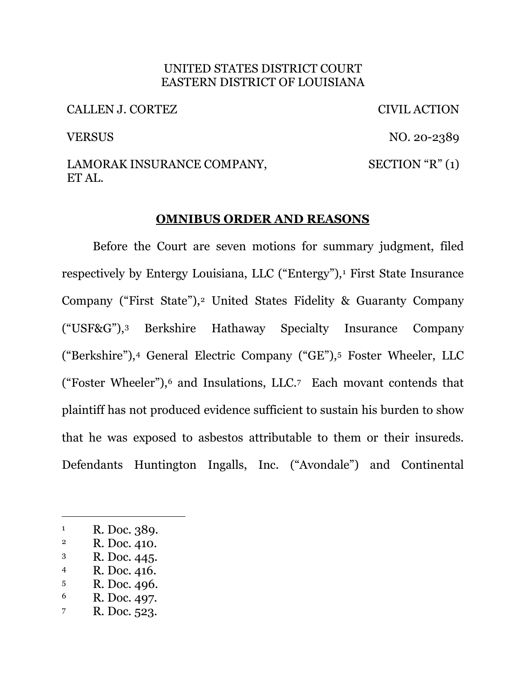#### UNITED STATES DISTRICT COURT EASTERN DISTRICT OF LOUISIANA

CALLEN J. CORTEZ CIVIL ACTION

VERSUS NO. 20-2389

#### LAMORAK INSURANCE COMPANY, ET AL.  $SECTION "R" (1)$

## **OMNIBUS ORDER AND REASONS**

Before the Court are seven motions for summary judgment, filed respectively by Entergy Louisiana, LLC ("Entergy"),<sup>1</sup> First State Insurance Company ("First State"),<sup>2</sup> United States Fidelity & Guaranty Company ("USF&G"),3 Berkshire Hathaway Specialty Insurance Company ("Berkshire"),4 General Electric Company ("GE"),5 Foster Wheeler, LLC ("Foster Wheeler"),6 and Insulations, LLC.7 Each movant contends that plaintiff has not produced evidence sufficient to sustain his burden to show that he was exposed to asbestos attributable to them or their insureds. Defendants Huntington Ingalls, Inc. ("Avondale") and Continental

4 R. Doc. 416.

- 6 R. Doc. 497.
- 7 R. Doc. 523.

<sup>&</sup>lt;sup>1</sup> R. Doc. 389.<br><sup>2</sup> R. Doc. 410.

<sup>3</sup> R. Doc. 445.

<sup>5</sup> R. Doc. 496.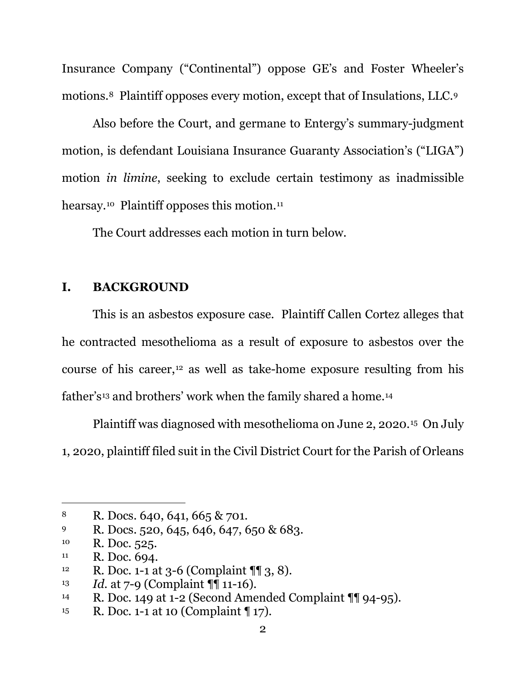Insurance Company ("Continental") oppose GE's and Foster Wheeler's motions.8 Plaintiff opposes every motion, except that of Insulations, LLC.9

Also before the Court, and germane to Entergy's summary-judgment motion, is defendant Louisiana Insurance Guaranty Association's ("LIGA") motion *in limine*, seeking to exclude certain testimony as inadmissible hearsay.<sup>10</sup> Plaintiff opposes this motion.<sup>11</sup>

The Court addresses each motion in turn below.

## **I. BACKGROUND**

This is an asbestos exposure case. Plaintiff Callen Cortez alleges that he contracted mesothelioma as a result of exposure to asbestos over the course of his career,12 as well as take-home exposure resulting from his father's<sup>13</sup> and brothers' work when the family shared a home.<sup>14</sup>

Plaintiff was diagnosed with mesothelioma on June 2, 2020.15 On July 1, 2020, plaintiff filed suit in the Civil District Court for the Parish of Orleans

<sup>8</sup> R. Docs. 640, 641, 665 & 701.

<sup>9</sup> R. Docs. 520, 645, 646, 647, 650 & 683.<br><sup>10</sup> R. Doc. 525.

 $11$  R. Doc. 694.

<sup>&</sup>lt;sup>12</sup> R. Doc. 1-1 at 3-6 (Complaint  $\P$ [ 3, 8).

<sup>13</sup> *Id.* at 7-9 (Complaint ¶¶ 11-16).

<sup>14</sup> R. Doc. 149 at 1-2 (Second Amended Complaint ¶¶ 94-95).

<sup>15</sup> R. Doc. 1-1 at 10 (Complaint ¶ 17).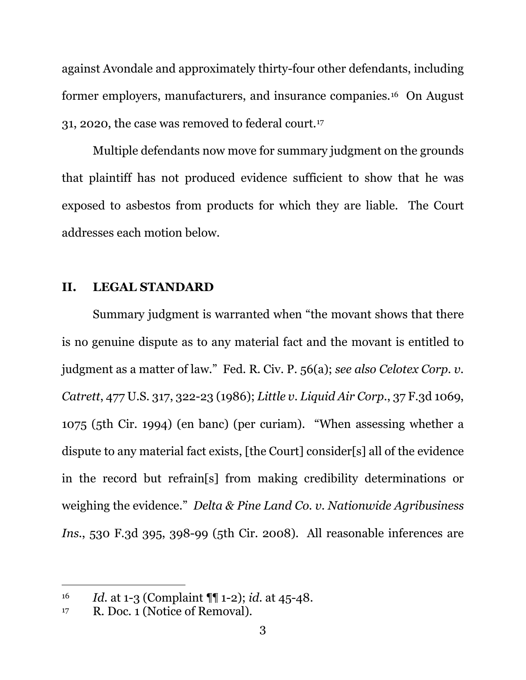against Avondale and approximately thirty-four other defendants, including former employers, manufacturers, and insurance companies.16 On August 31, 2020, the case was removed to federal court.17

Multiple defendants now move for summary judgment on the grounds that plaintiff has not produced evidence sufficient to show that he was exposed to asbestos from products for which they are liable. The Court addresses each motion below.

## **II. LEGAL STANDARD**

Summary judgment is warranted when "the movant shows that there is no genuine dispute as to any material fact and the movant is entitled to judgment as a matter of law." Fed. R. Civ. P. 56(a); *see also Celotex Corp. v. Catrett*, 477 U.S. 317, 322-23 (1986); *Little v. Liquid Air Corp.*, 37 F.3d 1069, 1075 (5th Cir. 1994) (en banc) (per curiam). "When assessing whether a dispute to any material fact exists, [the Court] consider[s] all of the evidence in the record but refrain[s] from making credibility determinations or weighing the evidence." *Delta & Pine Land Co. v. Nationwide Agribusiness Ins.*, 530 F.3d 395, 398-99 (5th Cir. 2008). All reasonable inferences are

<sup>16</sup> *Id.* at 1-3 (Complaint ¶¶ 1-2); *id.* at 45-48.

 $17$  R. Doc. 1 (Notice of Removal).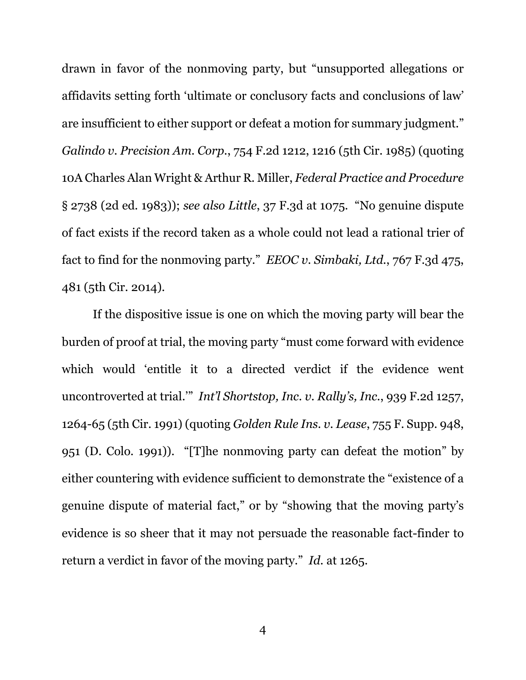drawn in favor of the nonmoving party, but "unsupported allegations or affidavits setting forth 'ultimate or conclusory facts and conclusions of law' are insufficient to either support or defeat a motion for summary judgment." *Galindo v. Precision Am. Corp.*, 754 F.2d 1212, 1216 (5th Cir. 1985) (quoting 10A Charles Alan Wright & Arthur R. Miller, *Federal Practice and Procedure* § 2738 (2d ed. 1983)); *see also Little*, 37 F.3d at 1075. "No genuine dispute of fact exists if the record taken as a whole could not lead a rational trier of fact to find for the nonmoving party." *EEOC v. Simbaki, Ltd.*, 767 F.3d 475, 481 (5th Cir. 2014).

If the dispositive issue is one on which the moving party will bear the burden of proof at trial, the moving party "must come forward with evidence which would 'entitle it to a directed verdict if the evidence went uncontroverted at trial.'" *Int'l Shortstop, Inc. v. Rally's, Inc.*, 939 F.2d 1257, 1264-65 (5th Cir. 1991) (quoting *Golden Rule Ins. v. Lease*, 755 F. Supp. 948, 951 (D. Colo. 1991)). "[T]he nonmoving party can defeat the motion" by either countering with evidence sufficient to demonstrate the "existence of a genuine dispute of material fact," or by "showing that the moving party's evidence is so sheer that it may not persuade the reasonable fact-finder to return a verdict in favor of the moving party." *Id.* at 1265.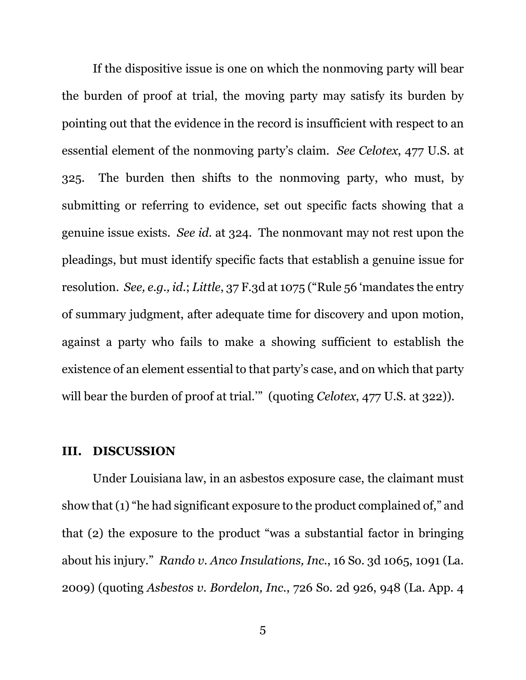If the dispositive issue is one on which the nonmoving party will bear the burden of proof at trial, the moving party may satisfy its burden by pointing out that the evidence in the record is insufficient with respect to an essential element of the nonmoving party's claim. *See Celotex*, 477 U.S. at 325. The burden then shifts to the nonmoving party, who must, by submitting or referring to evidence, set out specific facts showing that a genuine issue exists. *See id.* at 324. The nonmovant may not rest upon the pleadings, but must identify specific facts that establish a genuine issue for resolution. *See, e.g., id.*; *Little*, 37 F.3d at 1075 ("Rule 56 'mandates the entry of summary judgment, after adequate time for discovery and upon motion, against a party who fails to make a showing sufficient to establish the existence of an element essential to that party's case, and on which that party will bear the burden of proof at trial."" (quoting *Celotex*, 477 U.S. at 322)).

#### **III. DISCUSSION**

Under Louisiana law, in an asbestos exposure case, the claimant must show that (1) "he had significant exposure to the product complained of," and that (2) the exposure to the product "was a substantial factor in bringing about his injury." *Rando v. Anco Insulations, Inc.*, 16 So. 3d 1065, 1091 (La. 2009) (quoting *Asbestos v. Bordelon, Inc.*, 726 So. 2d 926, 948 (La. App. 4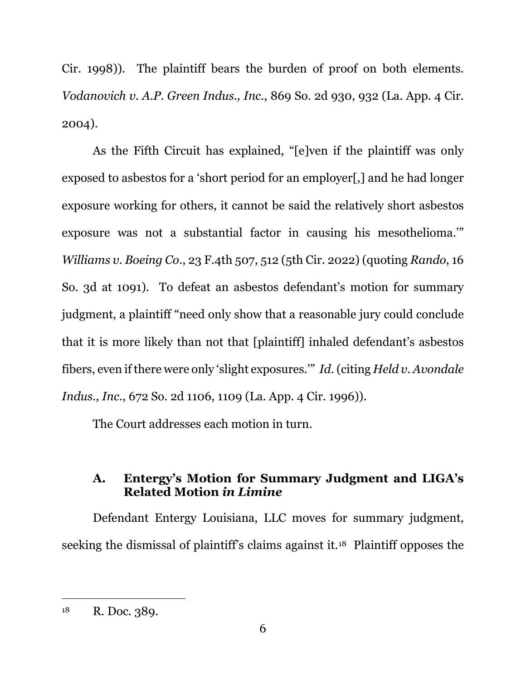Cir. 1998)). The plaintiff bears the burden of proof on both elements. *Vodanovich v. A.P. Green Indus., Inc.*, 869 So. 2d 930, 932 (La. App. 4 Cir. 2004).

As the Fifth Circuit has explained, "[e]ven if the plaintiff was only exposed to asbestos for a 'short period for an employer[,] and he had longer exposure working for others, it cannot be said the relatively short asbestos exposure was not a substantial factor in causing his mesothelioma.'" *Williams v. Boeing Co.*, 23 F.4th 507, 512 (5th Cir. 2022) (quoting *Rando*, 16 So. 3d at 1091). To defeat an asbestos defendant's motion for summary judgment, a plaintiff "need only show that a reasonable jury could conclude that it is more likely than not that [plaintiff] inhaled defendant's asbestos fibers, even if there were only 'slight exposures.'" *Id.* (citing *Held v. Avondale Indus., Inc.*, 672 So. 2d 1106, 1109 (La. App. 4 Cir. 1996)).

The Court addresses each motion in turn.

# **A. Entergy's Motion for Summary Judgment and LIGA's Related Motion** *in Limine*

Defendant Entergy Louisiana, LLC moves for summary judgment, seeking the dismissal of plaintiff's claims against it.18 Plaintiff opposes the

<sup>18</sup> R. Doc. 389.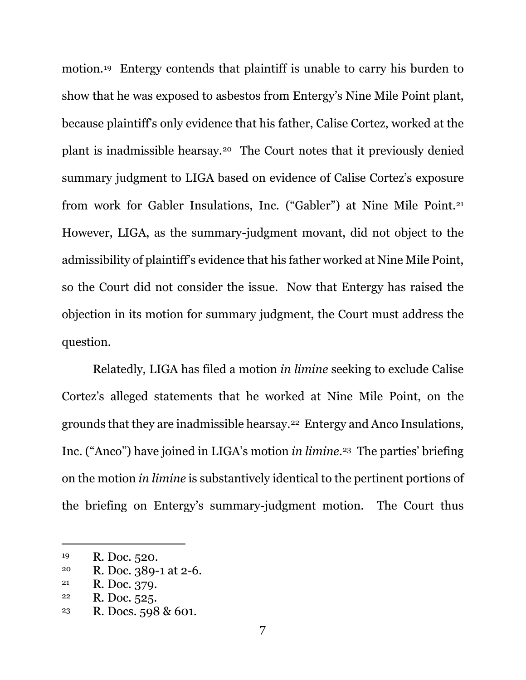motion.19 Entergy contends that plaintiff is unable to carry his burden to show that he was exposed to asbestos from Entergy's Nine Mile Point plant, because plaintiff's only evidence that his father, Calise Cortez, worked at the plant is inadmissible hearsay.20 The Court notes that it previously denied summary judgment to LIGA based on evidence of Calise Cortez's exposure from work for Gabler Insulations, Inc. ("Gabler") at Nine Mile Point.21 However, LIGA, as the summary-judgment movant, did not object to the admissibility of plaintiff's evidence that his father worked at Nine Mile Point, so the Court did not consider the issue. Now that Entergy has raised the objection in its motion for summary judgment, the Court must address the question.

Relatedly, LIGA has filed a motion *in limine* seeking to exclude Calise Cortez's alleged statements that he worked at Nine Mile Point, on the grounds that they are inadmissible hearsay.22 Entergy and Anco Insulations, Inc. ("Anco") have joined in LIGA's motion *in limine*.23 The parties' briefing on the motion *in limine* is substantively identical to the pertinent portions of the briefing on Entergy's summary-judgment motion. The Court thus

<sup>19</sup> R. Doc. 520.

<sup>20</sup> R. Doc. 389-1 at 2-6.

<sup>21</sup> R. Doc. 379.

 $22$  R. Doc. 525.

<sup>23</sup> R. Docs. 598 & 601.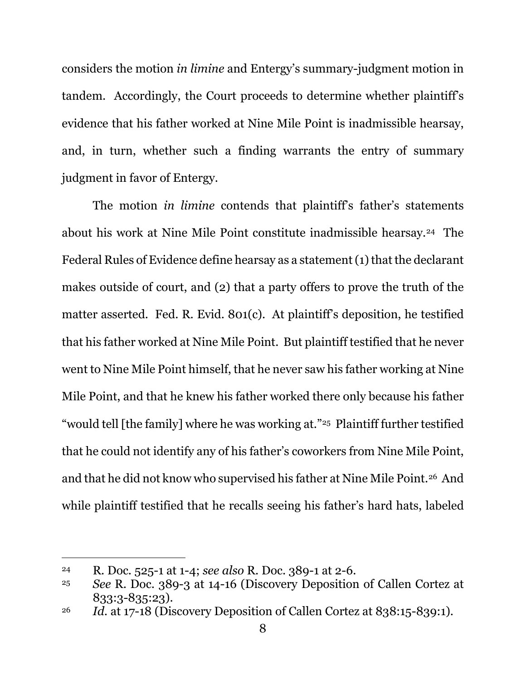considers the motion *in limine* and Entergy's summary-judgment motion in tandem. Accordingly, the Court proceeds to determine whether plaintiff's evidence that his father worked at Nine Mile Point is inadmissible hearsay, and, in turn, whether such a finding warrants the entry of summary judgment in favor of Entergy.

The motion *in limine* contends that plaintiff's father's statements about his work at Nine Mile Point constitute inadmissible hearsay.24 The Federal Rules of Evidence define hearsay as a statement (1) that the declarant makes outside of court, and (2) that a party offers to prove the truth of the matter asserted. Fed. R. Evid. 801(c). At plaintiff's deposition, he testified that his father worked at Nine Mile Point. But plaintiff testified that he never went to Nine Mile Point himself, that he never saw his father working at Nine Mile Point, and that he knew his father worked there only because his father "would tell [the family] where he was working at."25 Plaintiff further testified that he could not identify any of his father's coworkers from Nine Mile Point, and that he did not know who supervised his father at Nine Mile Point.26 And while plaintiff testified that he recalls seeing his father's hard hats, labeled

<sup>24</sup> R. Doc. 525-1 at 1-4; *see also* R. Doc. 389-1 at 2-6.

<sup>25</sup> *See* R. Doc. 389-3 at 14-16 (Discovery Deposition of Callen Cortez at 833:3-835:23).

<sup>&</sup>lt;sup>26</sup> *Id.* at 17-18 (Discovery Deposition of Callen Cortez at 838:15-839:1).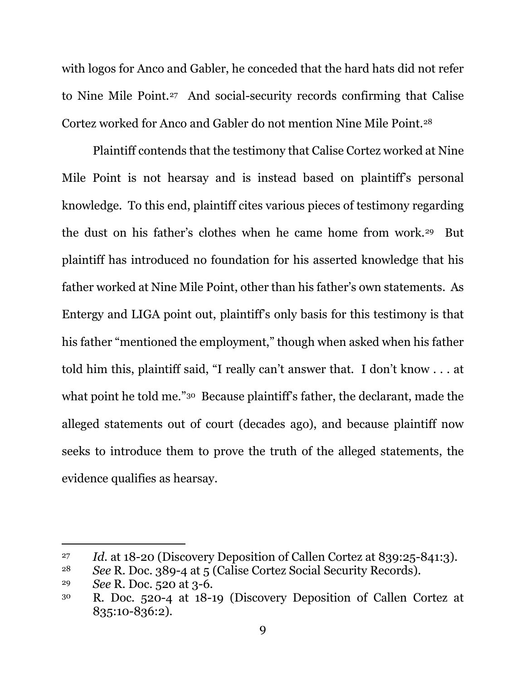with logos for Anco and Gabler, he conceded that the hard hats did not refer to Nine Mile Point.27 And social-security records confirming that Calise Cortez worked for Anco and Gabler do not mention Nine Mile Point.28

Plaintiff contends that the testimony that Calise Cortez worked at Nine Mile Point is not hearsay and is instead based on plaintiff's personal knowledge. To this end, plaintiff cites various pieces of testimony regarding the dust on his father's clothes when he came home from work.29 But plaintiff has introduced no foundation for his asserted knowledge that his father worked at Nine Mile Point, other than his father's own statements. As Entergy and LIGA point out, plaintiff's only basis for this testimony is that his father "mentioned the employment," though when asked when his father told him this, plaintiff said, "I really can't answer that. I don't know . . . at what point he told me."<sup>30</sup> Because plaintiff's father, the declarant, made the alleged statements out of court (decades ago), and because plaintiff now seeks to introduce them to prove the truth of the alleged statements, the evidence qualifies as hearsay.

<sup>27</sup> *Id.* at 18-20 (Discovery Deposition of Callen Cortez at 839:25-841:3).

<sup>28</sup> *See* R. Doc. 389-4 at 5 (Calise Cortez Social Security Records).

<sup>29</sup> *See* R. Doc. 520 at 3-6.

<sup>30</sup> R. Doc. 520-4 at 18-19 (Discovery Deposition of Callen Cortez at 835:10-836:2).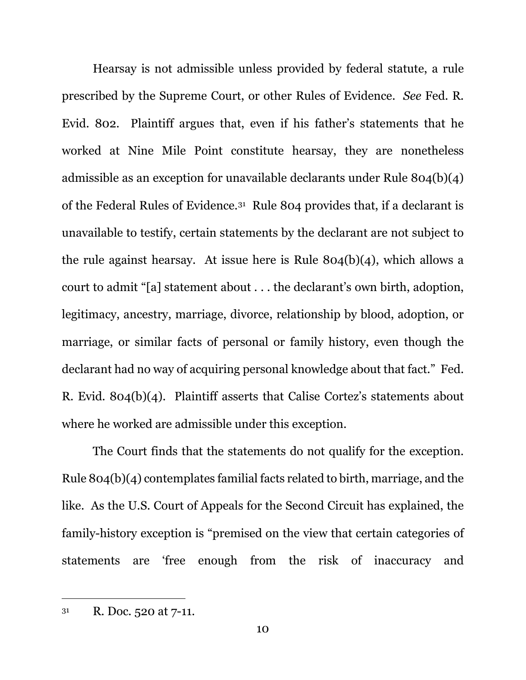Hearsay is not admissible unless provided by federal statute, a rule prescribed by the Supreme Court, or other Rules of Evidence. *See* Fed. R. Evid. 802. Plaintiff argues that, even if his father's statements that he worked at Nine Mile Point constitute hearsay, they are nonetheless admissible as an exception for unavailable declarants under Rule 804(b)(4) of the Federal Rules of Evidence.31 Rule 804 provides that, if a declarant is unavailable to testify, certain statements by the declarant are not subject to the rule against hearsay. At issue here is Rule 804(b)(4), which allows a court to admit "[a] statement about . . . the declarant's own birth, adoption, legitimacy, ancestry, marriage, divorce, relationship by blood, adoption, or marriage, or similar facts of personal or family history, even though the declarant had no way of acquiring personal knowledge about that fact." Fed. R. Evid. 804(b)(4). Plaintiff asserts that Calise Cortez's statements about where he worked are admissible under this exception.

The Court finds that the statements do not qualify for the exception. Rule 804(b)(4) contemplates familial facts related to birth, marriage, and the like. As the U.S. Court of Appeals for the Second Circuit has explained, the family-history exception is "premised on the view that certain categories of statements are 'free enough from the risk of inaccuracy and

 $31$  R. Doc. 520 at 7-11.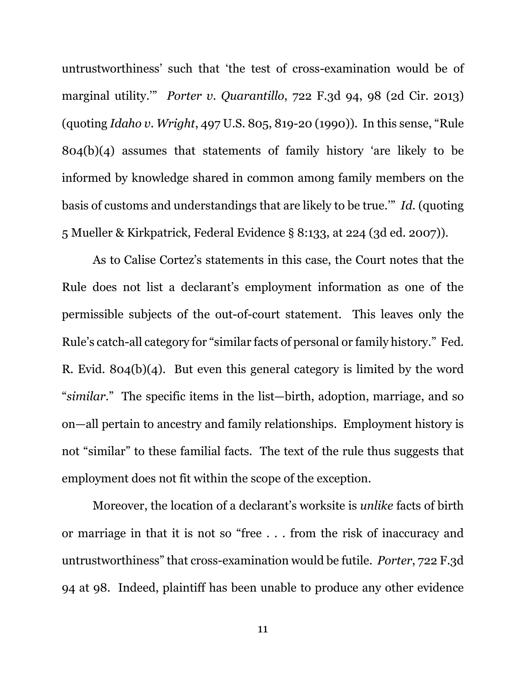untrustworthiness' such that 'the test of cross-examination would be of marginal utility.'" *Porter v. Quarantillo*, 722 F.3d 94, 98 (2d Cir. 2013) (quoting *Idaho v. Wright*, 497 U.S. 805, 819-20 (1990)). In this sense, "Rule 804(b)(4) assumes that statements of family history 'are likely to be informed by knowledge shared in common among family members on the basis of customs and understandings that are likely to be true.'" *Id.* (quoting 5 Mueller & Kirkpatrick, Federal Evidence § 8:133, at 224 (3d ed. 2007)).

As to Calise Cortez's statements in this case, the Court notes that the Rule does not list a declarant's employment information as one of the permissible subjects of the out-of-court statement. This leaves only the Rule's catch-all category for "similar facts of personal or family history." Fed. R. Evid. 804(b)(4). But even this general category is limited by the word "*similar*." The specific items in the list—birth, adoption, marriage, and so on—all pertain to ancestry and family relationships. Employment history is not "similar" to these familial facts. The text of the rule thus suggests that employment does not fit within the scope of the exception.

Moreover, the location of a declarant's worksite is *unlike* facts of birth or marriage in that it is not so "free . . . from the risk of inaccuracy and untrustworthiness" that cross-examination would be futile. *Porter*, 722 F.3d 94 at 98. Indeed, plaintiff has been unable to produce any other evidence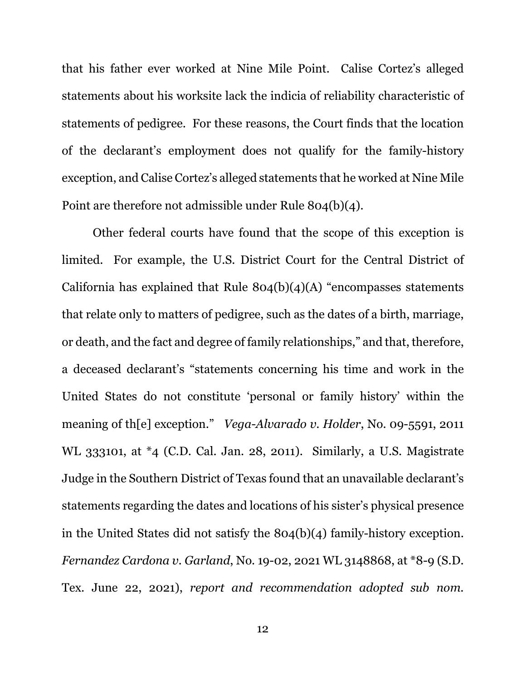that his father ever worked at Nine Mile Point. Calise Cortez's alleged statements about his worksite lack the indicia of reliability characteristic of statements of pedigree. For these reasons, the Court finds that the location of the declarant's employment does not qualify for the family-history exception, and Calise Cortez's alleged statements that he worked at Nine Mile Point are therefore not admissible under Rule 804(b)(4).

Other federal courts have found that the scope of this exception is limited. For example, the U.S. District Court for the Central District of California has explained that Rule  $804(b)(4)(A)$  "encompasses statements" that relate only to matters of pedigree, such as the dates of a birth, marriage, or death, and the fact and degree of family relationships," and that, therefore, a deceased declarant's "statements concerning his time and work in the United States do not constitute 'personal or family history' within the meaning of th[e] exception." *Vega-Alvarado v. Holder*, No. 09-5591, 2011 WL 333101, at \*4 (C.D. Cal. Jan. 28, 2011). Similarly, a U.S. Magistrate Judge in the Southern District of Texas found that an unavailable declarant's statements regarding the dates and locations of his sister's physical presence in the United States did not satisfy the 804(b)(4) family-history exception. *Fernandez Cardona v. Garland*, No. 19-02, 2021 WL 3148868, at \*8-9 (S.D. Tex. June 22, 2021), *report and recommendation adopted sub nom.*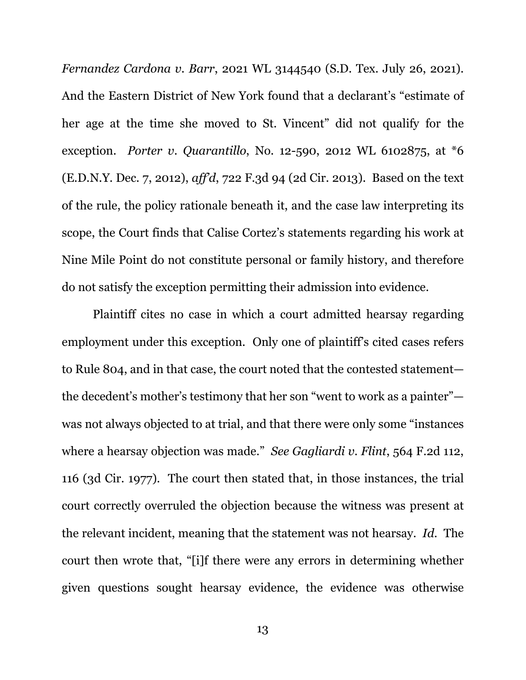*Fernandez Cardona v. Barr*, 2021 WL 3144540 (S.D. Tex. July 26, 2021). And the Eastern District of New York found that a declarant's "estimate of her age at the time she moved to St. Vincent" did not qualify for the exception. *Porter v. Quarantillo*, No. 12-590, 2012 WL 6102875, at \*6 (E.D.N.Y. Dec. 7, 2012), *aff'd*, 722 F.3d 94 (2d Cir. 2013). Based on the text of the rule, the policy rationale beneath it, and the case law interpreting its scope, the Court finds that Calise Cortez's statements regarding his work at Nine Mile Point do not constitute personal or family history, and therefore do not satisfy the exception permitting their admission into evidence.

Plaintiff cites no case in which a court admitted hearsay regarding employment under this exception. Only one of plaintiff's cited cases refers to Rule 804, and in that case, the court noted that the contested statement the decedent's mother's testimony that her son "went to work as a painter" was not always objected to at trial, and that there were only some "instances where a hearsay objection was made." *See Gagliardi v. Flint*, 564 F.2d 112, 116 (3d Cir. 1977). The court then stated that, in those instances, the trial court correctly overruled the objection because the witness was present at the relevant incident, meaning that the statement was not hearsay. *Id.* The court then wrote that, "[i]f there were any errors in determining whether given questions sought hearsay evidence, the evidence was otherwise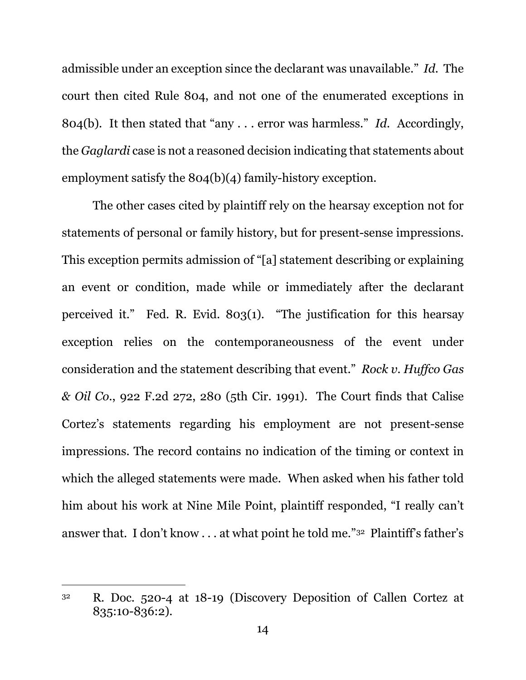admissible under an exception since the declarant was unavailable." *Id.* The court then cited Rule 804, and not one of the enumerated exceptions in 804(b). It then stated that "any . . . error was harmless." *Id.* Accordingly, the *Gaglardi* case is not a reasoned decision indicating that statements about employment satisfy the 804(b)(4) family-history exception.

The other cases cited by plaintiff rely on the hearsay exception not for statements of personal or family history, but for present-sense impressions. This exception permits admission of "[a] statement describing or explaining an event or condition, made while or immediately after the declarant perceived it." Fed. R. Evid. 803(1). "The justification for this hearsay exception relies on the contemporaneousness of the event under consideration and the statement describing that event." *Rock v. Huffco Gas & Oil Co.*, 922 F.2d 272, 280 (5th Cir. 1991). The Court finds that Calise Cortez's statements regarding his employment are not present-sense impressions. The record contains no indication of the timing or context in which the alleged statements were made. When asked when his father told him about his work at Nine Mile Point, plaintiff responded, "I really can't answer that. I don't know . . . at what point he told me."32 Plaintiff's father's

<sup>32</sup> R. Doc. 520-4 at 18-19 (Discovery Deposition of Callen Cortez at 835:10-836:2).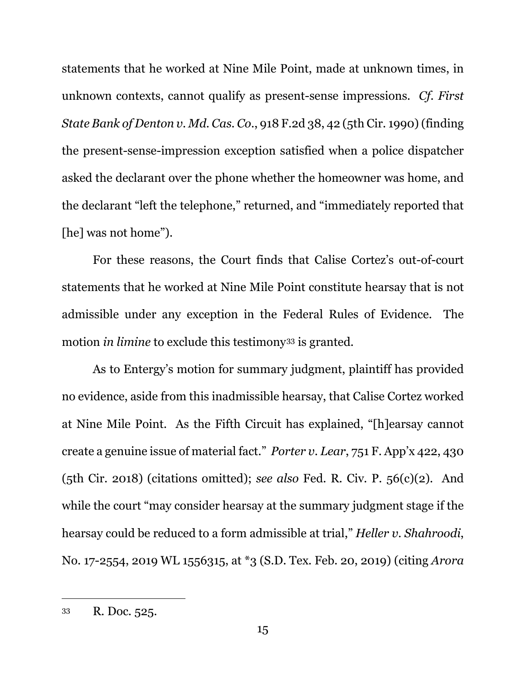statements that he worked at Nine Mile Point, made at unknown times, in unknown contexts, cannot qualify as present-sense impressions. *Cf. First State Bank of Denton v. Md. Cas. Co.*, 918 F.2d 38, 42 (5th Cir. 1990)(finding the present-sense-impression exception satisfied when a police dispatcher asked the declarant over the phone whether the homeowner was home, and the declarant "left the telephone," returned, and "immediately reported that [he] was not home").

For these reasons, the Court finds that Calise Cortez's out-of-court statements that he worked at Nine Mile Point constitute hearsay that is not admissible under any exception in the Federal Rules of Evidence. The motion *in limine* to exclude this testimony<sup>33</sup> is granted.

As to Entergy's motion for summary judgment, plaintiff has provided no evidence, aside from this inadmissible hearsay, that Calise Cortez worked at Nine Mile Point. As the Fifth Circuit has explained, "[h]earsay cannot create a genuine issue of material fact." *Porter v. Lear*, 751 F. App'x 422, 430 (5th Cir. 2018) (citations omitted); *see also* Fed. R. Civ. P. 56(c)(2). And while the court "may consider hearsay at the summary judgment stage if the hearsay could be reduced to a form admissible at trial," *Heller v. Shahroodi*, No. 17-2554, 2019 WL 1556315, at \*3 (S.D. Tex. Feb. 20, 2019) (citing *Arora* 

<sup>33</sup> R. Doc. 525.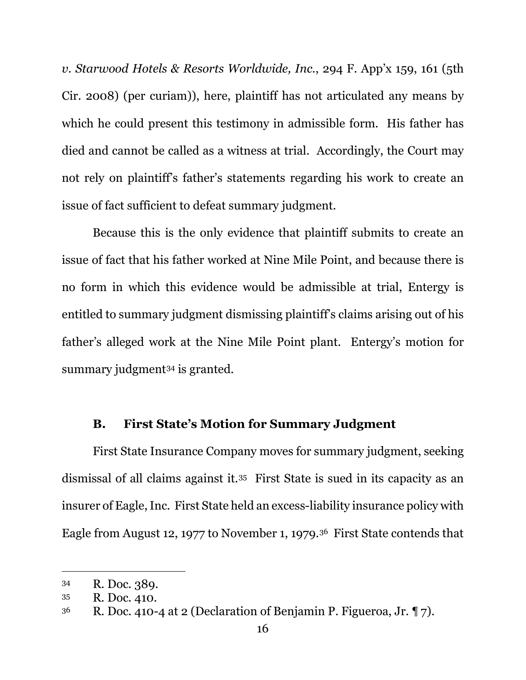*v. Starwood Hotels & Resorts Worldwide, Inc.*, 294 F. App'x 159, 161 (5th Cir. 2008) (per curiam)), here, plaintiff has not articulated any means by which he could present this testimony in admissible form. His father has died and cannot be called as a witness at trial. Accordingly, the Court may not rely on plaintiff's father's statements regarding his work to create an issue of fact sufficient to defeat summary judgment.

Because this is the only evidence that plaintiff submits to create an issue of fact that his father worked at Nine Mile Point, and because there is no form in which this evidence would be admissible at trial, Entergy is entitled to summary judgment dismissing plaintiff's claims arising out of his father's alleged work at the Nine Mile Point plant. Entergy's motion for summary judgment<sup>34</sup> is granted.

# **B. First State's Motion for Summary Judgment**

First State Insurance Company moves for summary judgment, seeking dismissal of all claims against it.35 First State is sued in its capacity as an insurer of Eagle, Inc. First State held an excess-liability insurance policy with Eagle from August 12, 1977 to November 1, 1979.36 First State contends that

<sup>34</sup> R. Doc. 389.

<sup>35</sup> R. Doc. 410.

<sup>&</sup>lt;sup>36</sup> R. Doc. 410-4 at 2 (Declaration of Benjamin P. Figueroa, Jr.  $\P$  7).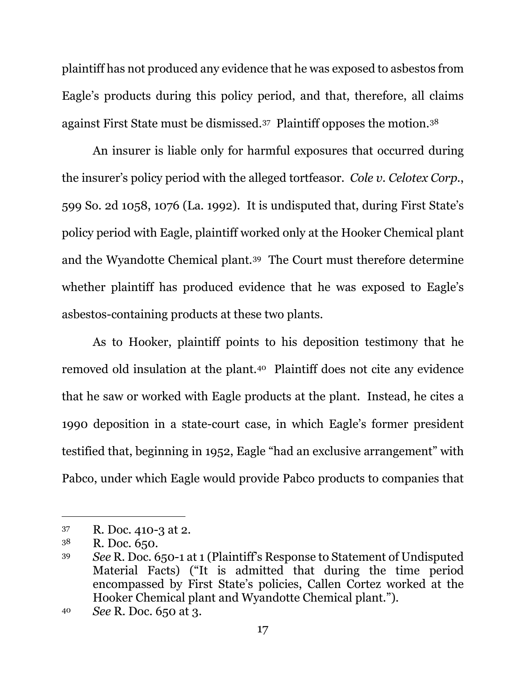plaintiff has not produced any evidence that he was exposed to asbestos from Eagle's products during this policy period, and that, therefore, all claims against First State must be dismissed.37 Plaintiff opposes the motion.38

An insurer is liable only for harmful exposures that occurred during the insurer's policy period with the alleged tortfeasor. *Cole v. Celotex Corp.*, 599 So. 2d 1058, 1076 (La. 1992). It is undisputed that, during First State's policy period with Eagle, plaintiff worked only at the Hooker Chemical plant and the Wyandotte Chemical plant.39 The Court must therefore determine whether plaintiff has produced evidence that he was exposed to Eagle's asbestos-containing products at these two plants.

As to Hooker, plaintiff points to his deposition testimony that he removed old insulation at the plant.40 Plaintiff does not cite any evidence that he saw or worked with Eagle products at the plant. Instead, he cites a 1990 deposition in a state-court case, in which Eagle's former president testified that, beginning in 1952, Eagle "had an exclusive arrangement" with Pabco, under which Eagle would provide Pabco products to companies that

<sup>37</sup> R. Doc. 410-3 at 2.

<sup>38</sup> R. Doc. 650.

<sup>39</sup> *See* R. Doc. 650-1 at 1 (Plaintiff's Response to Statement of Undisputed Material Facts) ("It is admitted that during the time period encompassed by First State's policies, Callen Cortez worked at the Hooker Chemical plant and Wyandotte Chemical plant.").

<sup>40</sup> *See* R. Doc. 650 at 3.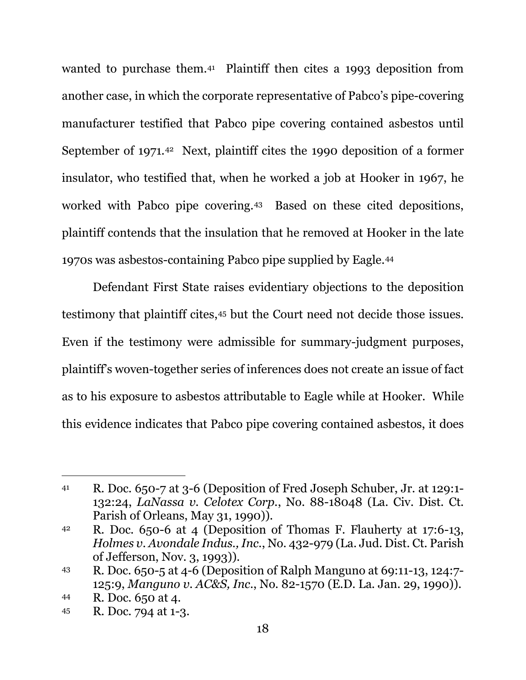wanted to purchase them.41 Plaintiff then cites a 1993 deposition from another case, in which the corporate representative of Pabco's pipe-covering manufacturer testified that Pabco pipe covering contained asbestos until September of 1971.42 Next, plaintiff cites the 1990 deposition of a former insulator, who testified that, when he worked a job at Hooker in 1967, he worked with Pabco pipe covering.43 Based on these cited depositions, plaintiff contends that the insulation that he removed at Hooker in the late 1970s was asbestos-containing Pabco pipe supplied by Eagle.44

Defendant First State raises evidentiary objections to the deposition testimony that plaintiff cites,45 but the Court need not decide those issues. Even if the testimony were admissible for summary-judgment purposes, plaintiff's woven-together series of inferences does not create an issue of fact as to his exposure to asbestos attributable to Eagle while at Hooker. While this evidence indicates that Pabco pipe covering contained asbestos, it does

<sup>41</sup> R. Doc. 650-7 at 3-6 (Deposition of Fred Joseph Schuber, Jr. at 129:1- 132:24, *LaNassa v. Celotex Corp.*, No. 88-18048 (La. Civ. Dist. Ct. Parish of Orleans, May 31, 1990)).

<sup>42</sup> R. Doc. 650-6 at 4 (Deposition of Thomas F. Flauherty at 17:6-13, *Holmes v. Avondale Indus., Inc.*, No. 432-979 (La. Jud. Dist. Ct. Parish of Jefferson, Nov. 3, 1993)).

<sup>43</sup> R. Doc. 650-5 at 4-6 (Deposition of Ralph Manguno at 69:11-13, 124:7- 125:9, *Manguno v. AC&S, Inc.*, No. 82-1570 (E.D. La. Jan. 29, 1990)).

<sup>44</sup> R. Doc. 650 at 4.

<sup>45</sup> R. Doc. 794 at 1-3.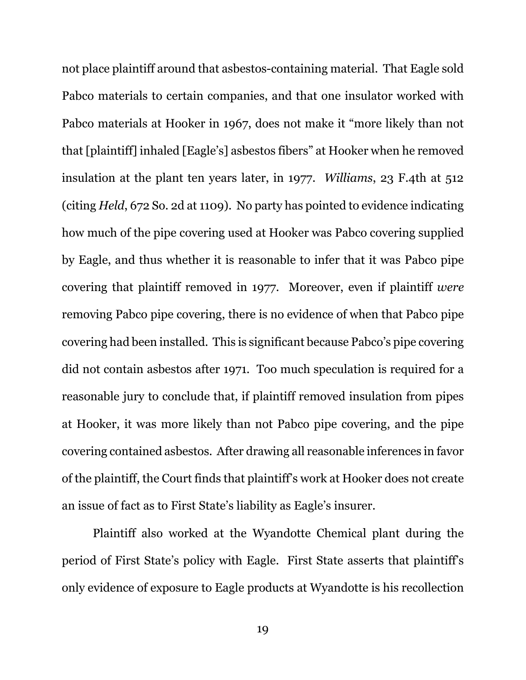not place plaintiff around that asbestos-containing material. That Eagle sold Pabco materials to certain companies, and that one insulator worked with Pabco materials at Hooker in 1967, does not make it "more likely than not that [plaintiff] inhaled [Eagle's] asbestos fibers" at Hooker when he removed insulation at the plant ten years later, in 1977. *Williams*, 23 F.4th at 512 (citing *Held*, 672 So. 2d at 1109). No party has pointed to evidence indicating how much of the pipe covering used at Hooker was Pabco covering supplied by Eagle, and thus whether it is reasonable to infer that it was Pabco pipe covering that plaintiff removed in 1977. Moreover, even if plaintiff *were* removing Pabco pipe covering, there is no evidence of when that Pabco pipe covering had been installed. This is significant because Pabco's pipe covering did not contain asbestos after 1971. Too much speculation is required for a reasonable jury to conclude that, if plaintiff removed insulation from pipes at Hooker, it was more likely than not Pabco pipe covering, and the pipe covering contained asbestos. After drawing all reasonable inferences in favor of the plaintiff, the Court finds that plaintiff's work at Hooker does not create an issue of fact as to First State's liability as Eagle's insurer.

Plaintiff also worked at the Wyandotte Chemical plant during the period of First State's policy with Eagle. First State asserts that plaintiff's only evidence of exposure to Eagle products at Wyandotte is his recollection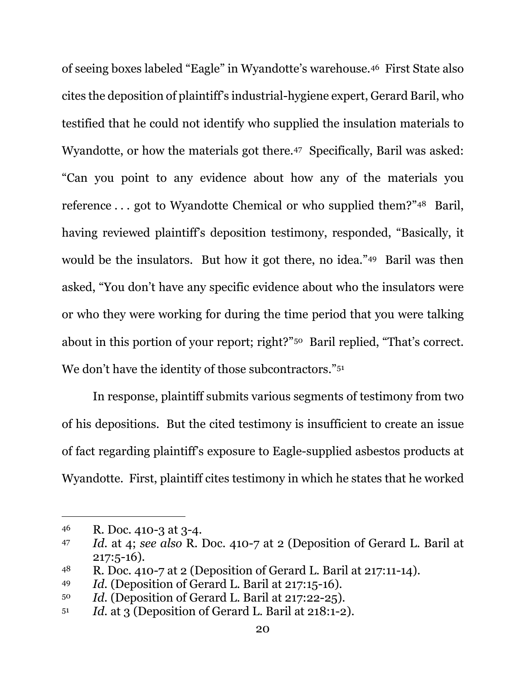of seeing boxes labeled "Eagle" in Wyandotte's warehouse.46 First State also cites the deposition of plaintiff's industrial-hygiene expert, Gerard Baril, who testified that he could not identify who supplied the insulation materials to Wyandotte, or how the materials got there.47 Specifically, Baril was asked: "Can you point to any evidence about how any of the materials you reference ... got to Wyandotte Chemical or who supplied them?"<sup>48</sup> Baril, having reviewed plaintiff's deposition testimony, responded, "Basically, it would be the insulators. But how it got there, no idea."49 Baril was then asked, "You don't have any specific evidence about who the insulators were or who they were working for during the time period that you were talking about in this portion of your report; right?"50 Baril replied, "That's correct. We don't have the identity of those subcontractors."<sup>51</sup>

In response, plaintiff submits various segments of testimony from two of his depositions. But the cited testimony is insufficient to create an issue of fact regarding plaintiff's exposure to Eagle-supplied asbestos products at Wyandotte. First, plaintiff cites testimony in which he states that he worked

<sup>46</sup> R. Doc. 410-3 at 3-4.

<sup>47</sup> *Id.* at 4; *see also* R. Doc. 410-7 at 2 (Deposition of Gerard L. Baril at 217:5-16).

<sup>48</sup> R. Doc. 410-7 at 2 (Deposition of Gerard L. Baril at 217:11-14).

<sup>49</sup> *Id.* (Deposition of Gerard L. Baril at 217:15-16).

<sup>50</sup> *Id.* (Deposition of Gerard L. Baril at 217:22-25).

<sup>51</sup> *Id.* at 3 (Deposition of Gerard L. Baril at 218:1-2).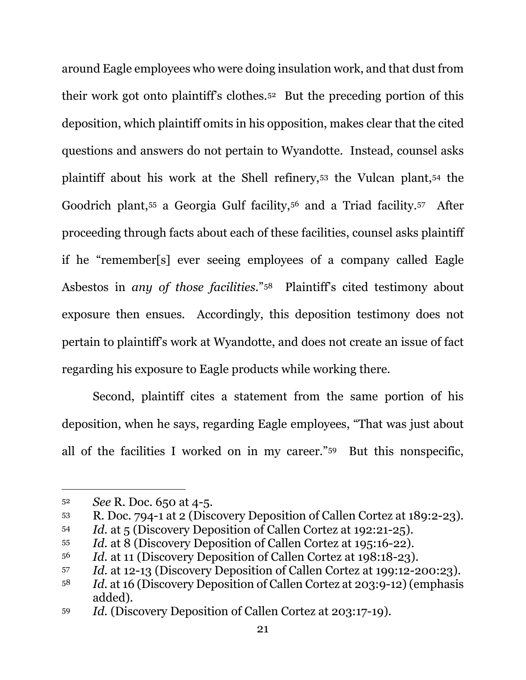around Eagle employees who were doing insulation work, and that dust from their work got onto plaintiff's clothes.52 But the preceding portion of this deposition, which plaintiff omits in his opposition, makes clear that the cited questions and answers do not pertain to Wyandotte. Instead, counsel asks plaintiff about his work at the Shell refinery,53 the Vulcan plant,54 the Goodrich plant,55 a Georgia Gulf facility,56 and a Triad facility.57 After proceeding through facts about each of these facilities, counsel asks plaintiff if he "remember[s] ever seeing employees of a company called Eagle Asbestos in *any of those facilities*."58 Plaintiff's cited testimony about exposure then ensues. Accordingly, this deposition testimony does not pertain to plaintiff's work at Wyandotte, and does not create an issue of fact regarding his exposure to Eagle products while working there.

Second, plaintiff cites a statement from the same portion of his deposition, when he says, regarding Eagle employees, "That was just about all of the facilities I worked on in my career."59 But this nonspecific,

<sup>52</sup> *See* R. Doc. 650 at 4-5.

<sup>53</sup> R. Doc. 794-1 at 2 (Discovery Deposition of Callen Cortez at 189:2-23).

<sup>54</sup> *Id.* at 5 (Discovery Deposition of Callen Cortez at 192:21-25).

<sup>55</sup> *Id.* at 8 (Discovery Deposition of Callen Cortez at 195:16-22).

<sup>56</sup> *Id.* at 11 (Discovery Deposition of Callen Cortez at 198:18-23).

<sup>57</sup> *Id.* at 12-13 (Discovery Deposition of Callen Cortez at 199:12-200:23).

<sup>58</sup> *Id.* at 16 (Discovery Deposition of Callen Cortez at 203:9-12) (emphasis added).

<sup>59</sup> *Id.* (Discovery Deposition of Callen Cortez at 203:17-19).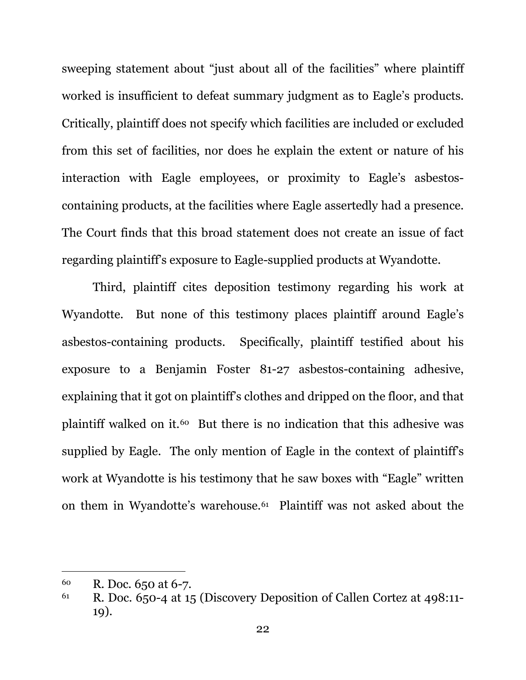sweeping statement about "just about all of the facilities" where plaintiff worked is insufficient to defeat summary judgment as to Eagle's products. Critically, plaintiff does not specify which facilities are included or excluded from this set of facilities, nor does he explain the extent or nature of his interaction with Eagle employees, or proximity to Eagle's asbestoscontaining products, at the facilities where Eagle assertedly had a presence. The Court finds that this broad statement does not create an issue of fact regarding plaintiff's exposure to Eagle-supplied products at Wyandotte.

Third, plaintiff cites deposition testimony regarding his work at Wyandotte. But none of this testimony places plaintiff around Eagle's asbestos-containing products. Specifically, plaintiff testified about his exposure to a Benjamin Foster 81-27 asbestos-containing adhesive, explaining that it got on plaintiff's clothes and dripped on the floor, and that plaintiff walked on it.<sup>60</sup> But there is no indication that this adhesive was supplied by Eagle. The only mention of Eagle in the context of plaintiff's work at Wyandotte is his testimony that he saw boxes with "Eagle" written on them in Wyandotte's warehouse.61 Plaintiff was not asked about the

<sup>60</sup> R. Doc. 650 at 6-7.

<sup>61</sup> R. Doc. 650-4 at 15 (Discovery Deposition of Callen Cortez at 498:11- 19).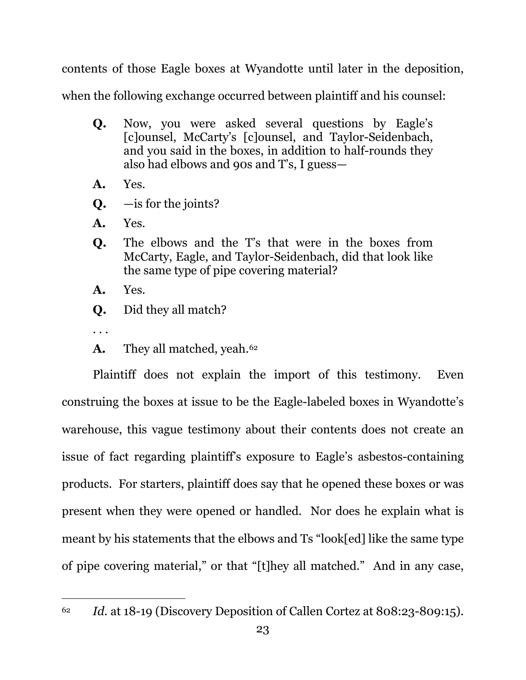contents of those Eagle boxes at Wyandotte until later in the deposition,

when the following exchange occurred between plaintiff and his counsel:

- **Q.** Now, you were asked several questions by Eagle's [c]ounsel, McCarty's [c]ounsel, and Taylor-Seidenbach, and you said in the boxes, in addition to half-rounds they also had elbows and 90s and T's, I guess—
- **A.** Yes.
- **Q.** —is for the joints?
- **A.** Yes.
- **Q.** The elbows and the T's that were in the boxes from McCarty, Eagle, and Taylor-Seidenbach, did that look like the same type of pipe covering material?
- **A.** Yes.
- **Q.** Did they all match?
- . . .
- A. They all matched, yeah.<sup>62</sup>

Plaintiff does not explain the import of this testimony. Even construing the boxes at issue to be the Eagle-labeled boxes in Wyandotte's warehouse, this vague testimony about their contents does not create an issue of fact regarding plaintiff's exposure to Eagle's asbestos-containing products. For starters, plaintiff does say that he opened these boxes or was present when they were opened or handled. Nor does he explain what is meant by his statements that the elbows and Ts "look[ed] like the same type of pipe covering material," or that "[t]hey all matched." And in any case,

<sup>62</sup> *Id.* at 18-19 (Discovery Deposition of Callen Cortez at 808:23-809:15).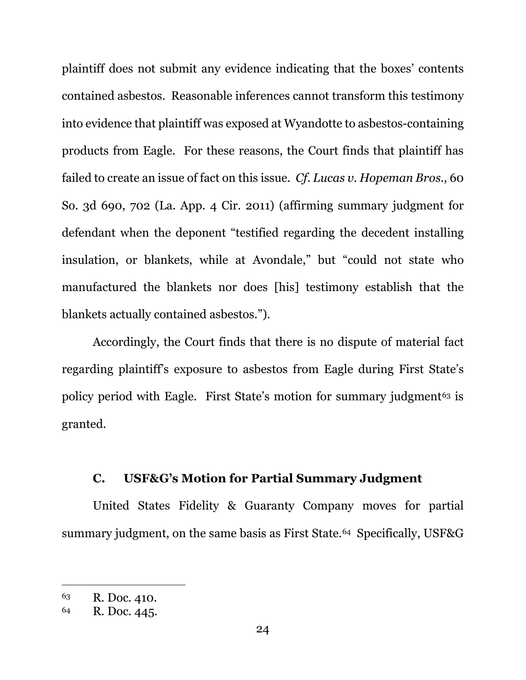plaintiff does not submit any evidence indicating that the boxes' contents contained asbestos. Reasonable inferences cannot transform this testimony into evidence that plaintiff was exposed at Wyandotte to asbestos-containing products from Eagle. For these reasons, the Court finds that plaintiff has failed to create an issue of fact on this issue. *Cf. Lucas v. Hopeman Bros.*, 60 So. 3d 690, 702 (La. App. 4 Cir. 2011) (affirming summary judgment for defendant when the deponent "testified regarding the decedent installing insulation, or blankets, while at Avondale," but "could not state who manufactured the blankets nor does [his] testimony establish that the blankets actually contained asbestos.").

Accordingly, the Court finds that there is no dispute of material fact regarding plaintiff's exposure to asbestos from Eagle during First State's policy period with Eagle. First State's motion for summary judgment<sup>63</sup> is granted.

# **C. USF&G's Motion for Partial Summary Judgment**

United States Fidelity & Guaranty Company moves for partial summary judgment, on the same basis as First State.<sup>64</sup> Specifically, USF&G

<sup>63</sup> R. Doc. 410.

<sup>64</sup> R. Doc. 445.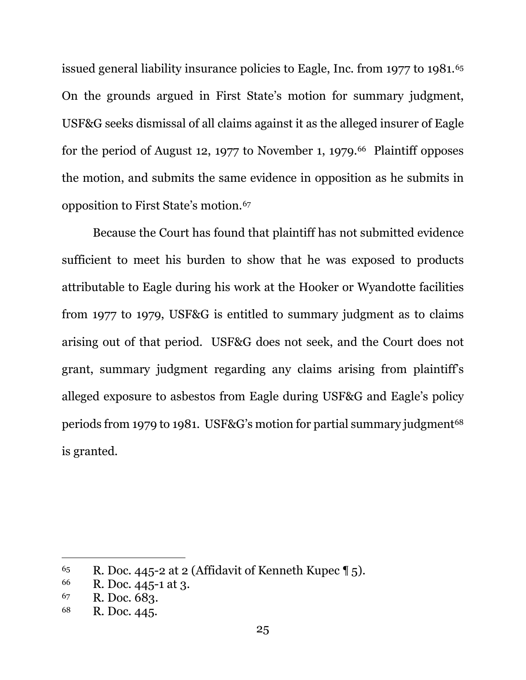issued general liability insurance policies to Eagle, Inc. from 1977 to 1981.<sup>65</sup> On the grounds argued in First State's motion for summary judgment, USF&G seeks dismissal of all claims against it as the alleged insurer of Eagle for the period of August 12, 1977 to November 1, 1979.<sup>66</sup> Plaintiff opposes the motion, and submits the same evidence in opposition as he submits in opposition to First State's motion.67

Because the Court has found that plaintiff has not submitted evidence sufficient to meet his burden to show that he was exposed to products attributable to Eagle during his work at the Hooker or Wyandotte facilities from 1977 to 1979, USF&G is entitled to summary judgment as to claims arising out of that period. USF&G does not seek, and the Court does not grant, summary judgment regarding any claims arising from plaintiff's alleged exposure to asbestos from Eagle during USF&G and Eagle's policy periods from 1979 to 1981. USF&G's motion for partial summary judgment<sup>68</sup> is granted.

<sup>&</sup>lt;sup>65</sup> R. Doc. 445-2 at 2 (Affidavit of Kenneth Kupec  $\P$  5).

<sup>66</sup> R. Doc. 445-1 at 3.

<sup>67</sup> R. Doc. 683.

<sup>68</sup> R. Doc. 445.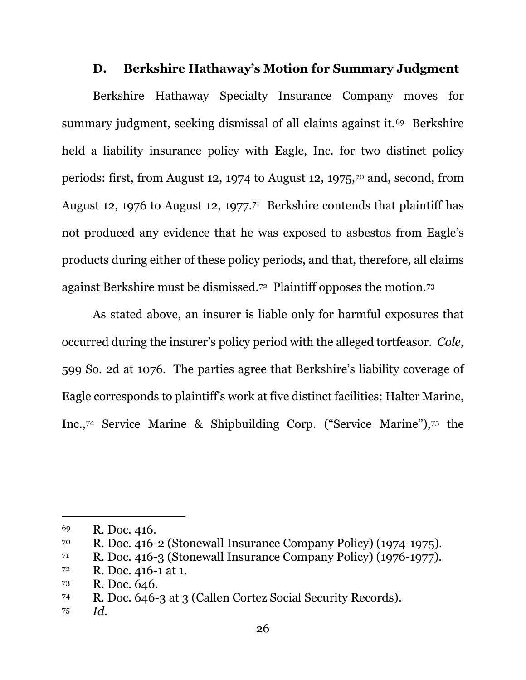# **D. Berkshire Hathaway's Motion for Summary Judgment**

Berkshire Hathaway Specialty Insurance Company moves for summary judgment, seeking dismissal of all claims against it.<sup>69</sup> Berkshire held a liability insurance policy with Eagle, Inc. for two distinct policy periods: first, from August 12, 1974 to August 12, 1975,70 and, second, from August 12, 1976 to August 12, 1977.<sup>71</sup> Berkshire contends that plaintiff has not produced any evidence that he was exposed to asbestos from Eagle's products during either of these policy periods, and that, therefore, all claims against Berkshire must be dismissed.72 Plaintiff opposes the motion.73

 As stated above, an insurer is liable only for harmful exposures that occurred during the insurer's policy period with the alleged tortfeasor. *Cole*, 599 So. 2d at 1076. The parties agree that Berkshire's liability coverage of Eagle corresponds to plaintiff's work at five distinct facilities: Halter Marine, Inc.,74 Service Marine & Shipbuilding Corp. ("Service Marine"),75 the

<sup>69</sup> R. Doc. 416.

<sup>70</sup> R. Doc. 416-2 (Stonewall Insurance Company Policy) (1974-1975).

<sup>71</sup> R. Doc. 416-3 (Stonewall Insurance Company Policy) (1976-1977).

<sup>72</sup> R. Doc. 416-1 at 1.

<sup>73</sup> R. Doc. 646.

<sup>74</sup> R. Doc. 646-3 at 3 (Callen Cortez Social Security Records).

<sup>75</sup> *Id.*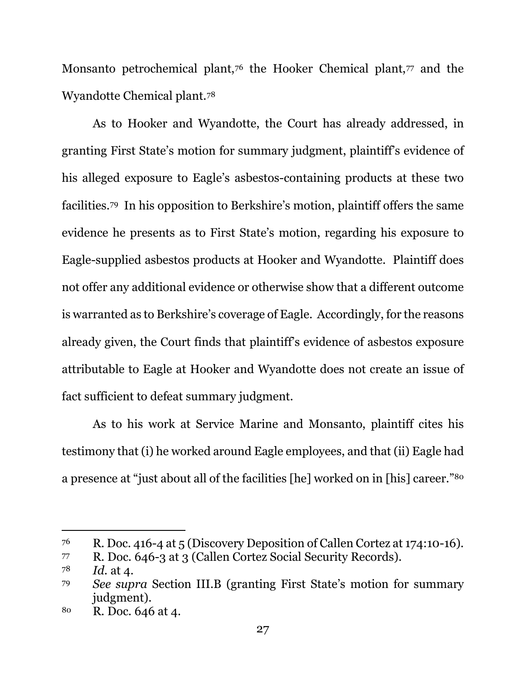Monsanto petrochemical plant,<sup>76</sup> the Hooker Chemical plant,<sup>77</sup> and the Wyandotte Chemical plant.78

As to Hooker and Wyandotte, the Court has already addressed, in granting First State's motion for summary judgment, plaintiff's evidence of his alleged exposure to Eagle's asbestos-containing products at these two facilities.79 In his opposition to Berkshire's motion, plaintiff offers the same evidence he presents as to First State's motion, regarding his exposure to Eagle-supplied asbestos products at Hooker and Wyandotte. Plaintiff does not offer any additional evidence or otherwise show that a different outcome is warranted as to Berkshire's coverage of Eagle. Accordingly, for the reasons already given, the Court finds that plaintiff's evidence of asbestos exposure attributable to Eagle at Hooker and Wyandotte does not create an issue of fact sufficient to defeat summary judgment.

As to his work at Service Marine and Monsanto, plaintiff cites his testimony that (i) he worked around Eagle employees, and that (ii) Eagle had a presence at "just about all of the facilities [he] worked on in [his] career."80

<sup>76</sup> R. Doc. 416-4 at 5 (Discovery Deposition of Callen Cortez at 174:10-16).

<sup>77</sup> R. Doc. 646-3 at 3 (Callen Cortez Social Security Records).

<sup>78</sup> *Id.* at 4.

<sup>79</sup> *See supra* Section III.B (granting First State's motion for summary judgment).

<sup>80</sup> R. Doc. 646 at 4.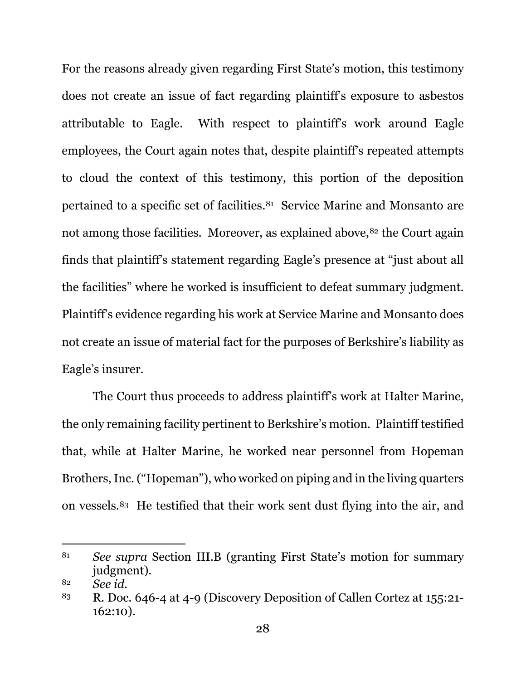For the reasons already given regarding First State's motion, this testimony does not create an issue of fact regarding plaintiff's exposure to asbestos attributable to Eagle. With respect to plaintiff's work around Eagle employees, the Court again notes that, despite plaintiff's repeated attempts to cloud the context of this testimony, this portion of the deposition pertained to a specific set of facilities.81 Service Marine and Monsanto are not among those facilities. Moreover, as explained above, <sup>82</sup> the Court again finds that plaintiff's statement regarding Eagle's presence at "just about all the facilities" where he worked is insufficient to defeat summary judgment. Plaintiff's evidence regarding his work at Service Marine and Monsanto does not create an issue of material fact for the purposes of Berkshire's liability as Eagle's insurer.

The Court thus proceeds to address plaintiff's work at Halter Marine, the only remaining facility pertinent to Berkshire's motion. Plaintiff testified that, while at Halter Marine, he worked near personnel from Hopeman Brothers, Inc. ("Hopeman"), who worked on piping and in the living quarters on vessels.83 He testified that their work sent dust flying into the air, and

<sup>81</sup> *See supra* Section III.B (granting First State's motion for summary judgment).

<sup>82</sup> *See id.*

<sup>83</sup> R. Doc. 646-4 at 4-9 (Discovery Deposition of Callen Cortez at 155:21- 162:10).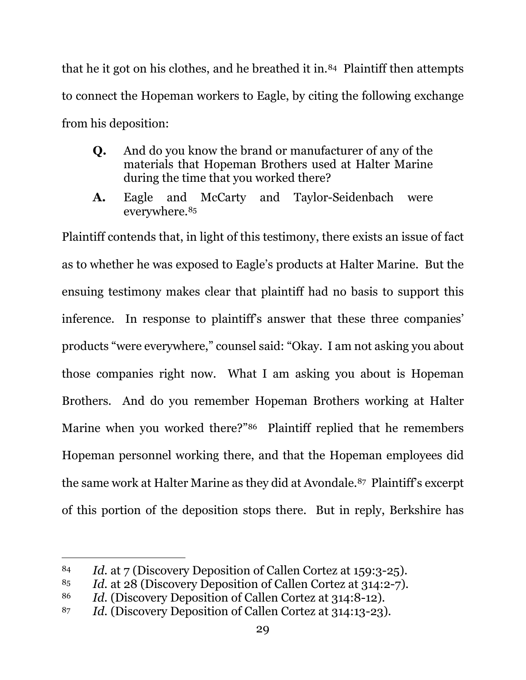that he it got on his clothes, and he breathed it in.<sup>84</sup> Plaintiff then attempts to connect the Hopeman workers to Eagle, by citing the following exchange from his deposition:

- **Q.** And do you know the brand or manufacturer of any of the materials that Hopeman Brothers used at Halter Marine during the time that you worked there?
- **A.** Eagle and McCarty and Taylor-Seidenbach were everywhere.85

Plaintiff contends that, in light of this testimony, there exists an issue of fact as to whether he was exposed to Eagle's products at Halter Marine. But the ensuing testimony makes clear that plaintiff had no basis to support this inference. In response to plaintiff's answer that these three companies' products "were everywhere," counsel said: "Okay. I am not asking you about those companies right now. What I am asking you about is Hopeman Brothers. And do you remember Hopeman Brothers working at Halter Marine when you worked there?"86 Plaintiff replied that he remembers Hopeman personnel working there, and that the Hopeman employees did the same work at Halter Marine as they did at Avondale.87 Plaintiff's excerpt of this portion of the deposition stops there. But in reply, Berkshire has

<sup>84</sup> *Id.* at 7 (Discovery Deposition of Callen Cortez at 159:3-25).

<sup>85</sup> *Id.* at 28 (Discovery Deposition of Callen Cortez at 314:2-7).

<sup>86</sup> *Id.* (Discovery Deposition of Callen Cortez at 314:8-12).

<sup>87</sup> *Id.* (Discovery Deposition of Callen Cortez at 314:13-23).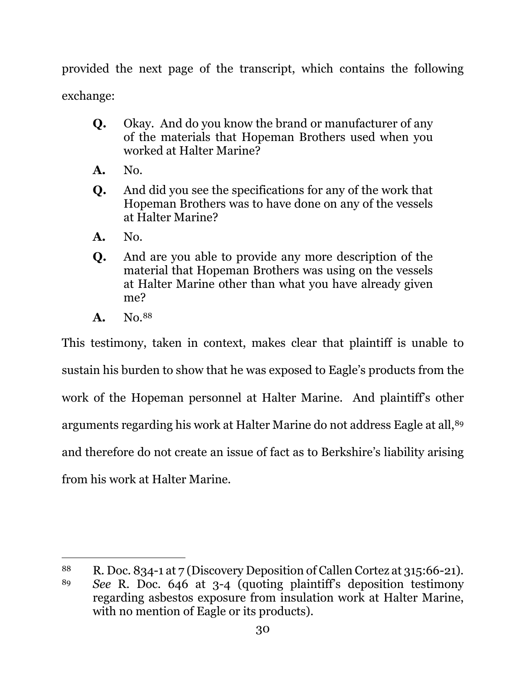provided the next page of the transcript, which contains the following exchange:

- **Q.** Okay. And do you know the brand or manufacturer of any of the materials that Hopeman Brothers used when you worked at Halter Marine?
- **A.** No.
- **Q.** And did you see the specifications for any of the work that Hopeman Brothers was to have done on any of the vessels at Halter Marine?
- **A.** No.
- **Q.** And are you able to provide any more description of the material that Hopeman Brothers was using on the vessels at Halter Marine other than what you have already given me?
- **A.** No.88

This testimony, taken in context, makes clear that plaintiff is unable to sustain his burden to show that he was exposed to Eagle's products from the work of the Hopeman personnel at Halter Marine. And plaintiff's other arguments regarding his work at Halter Marine do not address Eagle at all,<sup>89</sup> and therefore do not create an issue of fact as to Berkshire's liability arising from his work at Halter Marine.

<sup>88</sup> R. Doc. 834-1 at 7 (Discovery Deposition of Callen Cortez at 315:66-21).

<sup>89</sup> *See* R. Doc. 646 at 3-4 (quoting plaintiff's deposition testimony regarding asbestos exposure from insulation work at Halter Marine, with no mention of Eagle or its products).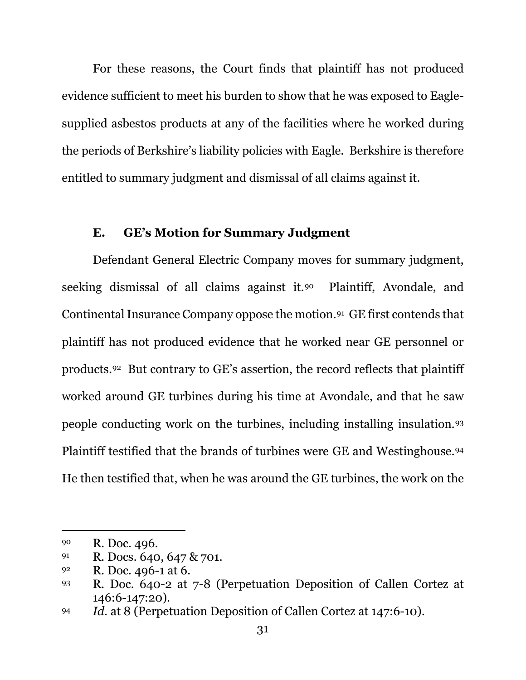For these reasons, the Court finds that plaintiff has not produced evidence sufficient to meet his burden to show that he was exposed to Eaglesupplied asbestos products at any of the facilities where he worked during the periods of Berkshire's liability policies with Eagle. Berkshire is therefore entitled to summary judgment and dismissal of all claims against it.

# **E. GE's Motion for Summary Judgment**

Defendant General Electric Company moves for summary judgment, seeking dismissal of all claims against it.<sup>90</sup> Plaintiff, Avondale, and Continental Insurance Company oppose the motion.91 GE first contends that plaintiff has not produced evidence that he worked near GE personnel or products.92 But contrary to GE's assertion, the record reflects that plaintiff worked around GE turbines during his time at Avondale, and that he saw people conducting work on the turbines, including installing insulation.93 Plaintiff testified that the brands of turbines were GE and Westinghouse.94 He then testified that, when he was around the GE turbines, the work on the

<sup>90</sup> R. Doc. 496.

<sup>91</sup> R. Docs. 640, 647 & 701.

<sup>92</sup> R. Doc. 496-1 at 6.

<sup>93</sup> R. Doc. 640-2 at 7-8 (Perpetuation Deposition of Callen Cortez at 146:6-147:20).

<sup>94</sup> *Id.* at 8 (Perpetuation Deposition of Callen Cortez at 147:6-10).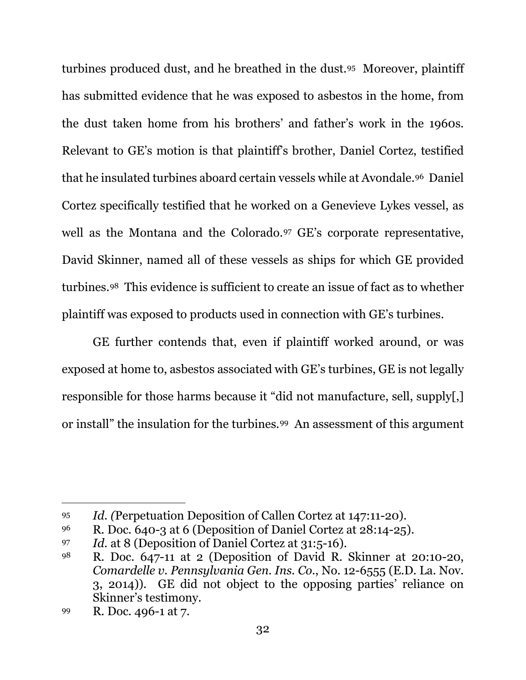turbines produced dust, and he breathed in the dust.95 Moreover, plaintiff has submitted evidence that he was exposed to asbestos in the home, from the dust taken home from his brothers' and father's work in the 1960s. Relevant to GE's motion is that plaintiff's brother, Daniel Cortez, testified that he insulated turbines aboard certain vessels while at Avondale.96 Daniel Cortez specifically testified that he worked on a Genevieve Lykes vessel, as well as the Montana and the Colorado.97 GE's corporate representative, David Skinner, named all of these vessels as ships for which GE provided turbines.98 This evidence is sufficient to create an issue of fact as to whether plaintiff was exposed to products used in connection with GE's turbines.

GE further contends that, even if plaintiff worked around, or was exposed at home to, asbestos associated with GE's turbines, GE is not legally responsible for those harms because it "did not manufacture, sell, supply[,] or install" the insulation for the turbines.99 An assessment of this argument

<sup>95</sup> *Id. (*Perpetuation Deposition of Callen Cortez at 147:11-20).

<sup>&</sup>lt;sup>96</sup> R. Doc. 640-3 at 6 (Deposition of Daniel Cortez at  $28:14-25$ ).

<sup>97</sup> *Id.* at 8 (Deposition of Daniel Cortez at 31:5-16).

<sup>98</sup> R. Doc. 647-11 at 2 (Deposition of David R. Skinner at 20:10-20, *Comardelle v. Pennsylvania Gen. Ins. Co.*, No. 12-6555 (E.D. La. Nov. 3, 2014)). GE did not object to the opposing parties' reliance on Skinner's testimony.

<sup>99</sup> R. Doc. 496-1 at 7.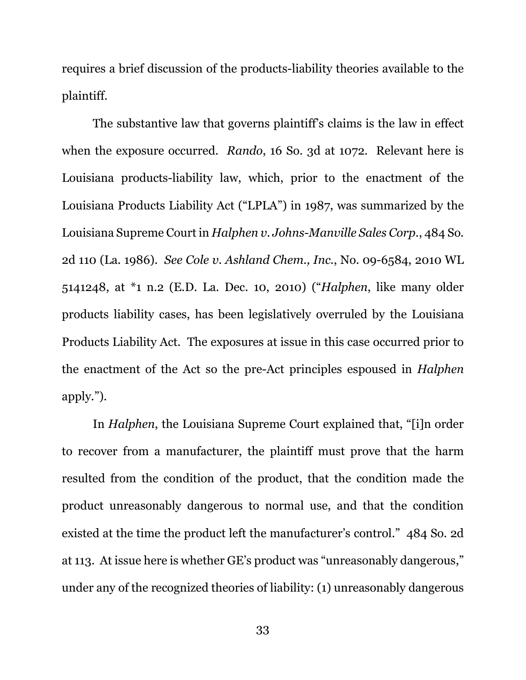requires a brief discussion of the products-liability theories available to the plaintiff.

The substantive law that governs plaintiff's claims is the law in effect when the exposure occurred. *Rando*, 16 So. 3d at 1072. Relevant here is Louisiana products-liability law, which, prior to the enactment of the Louisiana Products Liability Act ("LPLA") in 1987, was summarized by the Louisiana Supreme Court in *Halphen v. Johns-Manville Sales Corp.*, 484 So. 2d 110 (La. 1986). *See Cole v. Ashland Chem., Inc.*, No. 09-6584, 2010 WL 5141248, at \*1 n.2 (E.D. La. Dec. 10, 2010) ("*Halphen*, like many older products liability cases, has been legislatively overruled by the Louisiana Products Liability Act. The exposures at issue in this case occurred prior to the enactment of the Act so the pre-Act principles espoused in *Halphen* apply.").

In *Halphen*, the Louisiana Supreme Court explained that, "[i]n order to recover from a manufacturer, the plaintiff must prove that the harm resulted from the condition of the product, that the condition made the product unreasonably dangerous to normal use, and that the condition existed at the time the product left the manufacturer's control." 484 So. 2d at 113. At issue here is whether GE's product was "unreasonably dangerous," under any of the recognized theories of liability: (1) unreasonably dangerous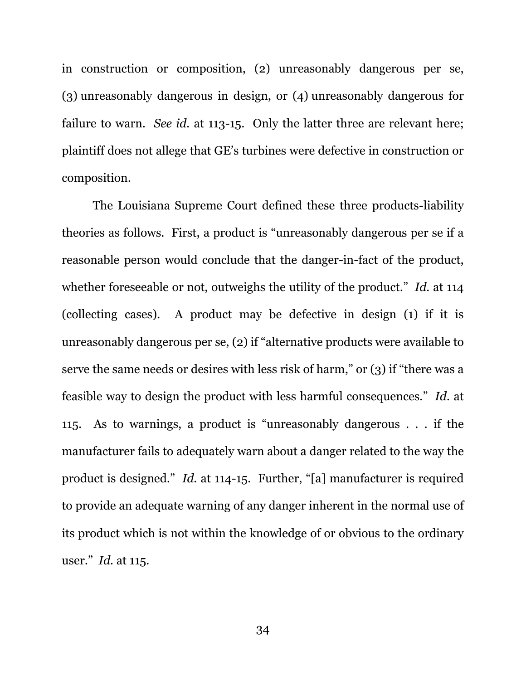in construction or composition, (2) unreasonably dangerous per se, (3) unreasonably dangerous in design, or (4) unreasonably dangerous for failure to warn. *See id.* at 113-15. Only the latter three are relevant here; plaintiff does not allege that GE's turbines were defective in construction or composition.

The Louisiana Supreme Court defined these three products-liability theories as follows. First, a product is "unreasonably dangerous per se if a reasonable person would conclude that the danger-in-fact of the product, whether foreseeable or not, outweighs the utility of the product." *Id.* at 114 (collecting cases). A product may be defective in design (1) if it is unreasonably dangerous per se, (2) if "alternative products were available to serve the same needs or desires with less risk of harm," or (3) if "there was a feasible way to design the product with less harmful consequences." *Id.* at 115. As to warnings, a product is "unreasonably dangerous . . . if the manufacturer fails to adequately warn about a danger related to the way the product is designed." *Id.* at 114-15. Further, "[a] manufacturer is required to provide an adequate warning of any danger inherent in the normal use of its product which is not within the knowledge of or obvious to the ordinary user." *Id.* at 115.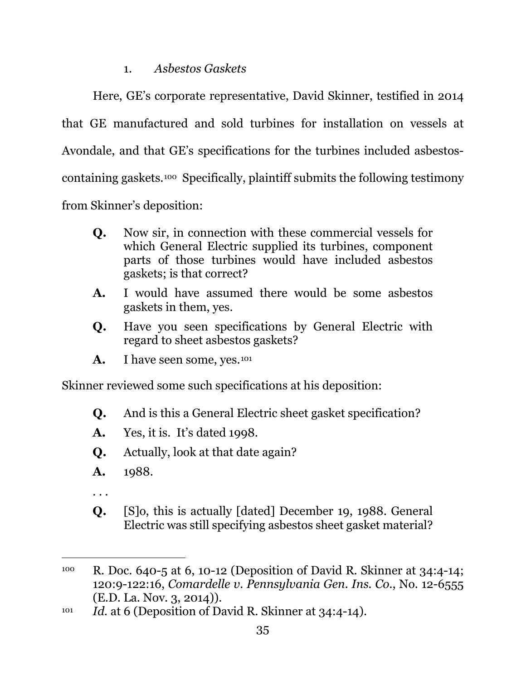# 1. *Asbestos Gaskets*

Here, GE's corporate representative, David Skinner, testified in 2014 that GE manufactured and sold turbines for installation on vessels at Avondale, and that GE's specifications for the turbines included asbestoscontaining gaskets.100 Specifically, plaintiff submits the following testimony from Skinner's deposition:

- **Q.** Now sir, in connection with these commercial vessels for which General Electric supplied its turbines, component parts of those turbines would have included asbestos gaskets; is that correct?
- **A.** I would have assumed there would be some asbestos gaskets in them, yes.
- **Q.** Have you seen specifications by General Electric with regard to sheet asbestos gaskets?
- A. I have seen some, yes.<sup>101</sup>

Skinner reviewed some such specifications at his deposition:

- **Q.** And is this a General Electric sheet gasket specification?
- **A.** Yes, it is. It's dated 1998.
- **Q.** Actually, look at that date again?
- **A.** 1988.
- . . .
- **Q.** [S]o, this is actually [dated] December 19, 1988. General Electric was still specifying asbestos sheet gasket material?

<sup>100</sup> R. Doc. 640-5 at 6, 10-12 (Deposition of David R. Skinner at 34:4-14; 120:9-122:16, *Comardelle v. Pennsylvania Gen. Ins. Co.*, No. 12-6555 (E.D. La. Nov. 3, 2014)).

<sup>&</sup>lt;sup>101</sup> *Id.* at 6 (Deposition of David R. Skinner at 34:4-14).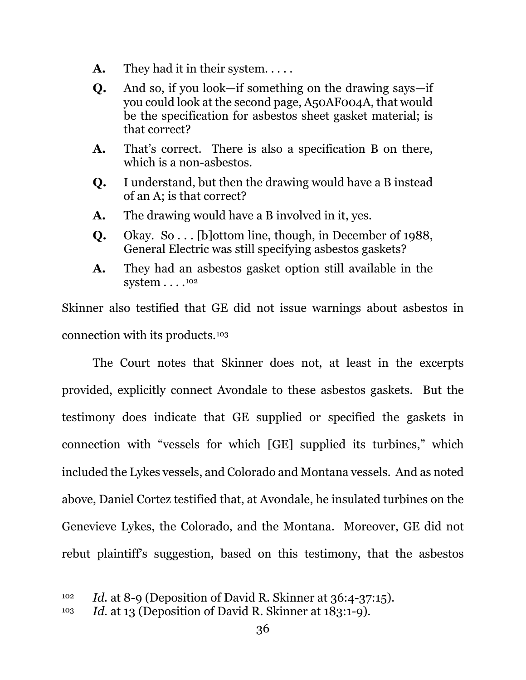- **A.** They had it in their system. . . . .
- **Q.** And so, if you look—if something on the drawing says—if you could look at the second page, A50AF004A, that would be the specification for asbestos sheet gasket material; is that correct?
- **A.** That's correct. There is also a specification B on there, which is a non-asbestos.
- **Q.** I understand, but then the drawing would have a B instead of an A; is that correct?
- **A.** The drawing would have a B involved in it, yes.
- **Q.** Okay. So . . . [b]ottom line, though, in December of 1988, General Electric was still specifying asbestos gaskets?
- **A.** They had an asbestos gasket option still available in the system . . . . <sup>102</sup>

Skinner also testified that GE did not issue warnings about asbestos in connection with its products.103

The Court notes that Skinner does not, at least in the excerpts provided, explicitly connect Avondale to these asbestos gaskets. But the testimony does indicate that GE supplied or specified the gaskets in connection with "vessels for which [GE] supplied its turbines," which included the Lykes vessels, and Colorado and Montana vessels. And as noted above, Daniel Cortez testified that, at Avondale, he insulated turbines on the Genevieve Lykes, the Colorado, and the Montana. Moreover, GE did not rebut plaintiff's suggestion, based on this testimony, that the asbestos

<sup>102</sup> *Id.* at 8-9 (Deposition of David R. Skinner at 36:4-37:15).

<sup>103</sup> *Id.* at 13 (Deposition of David R. Skinner at 183:1-9).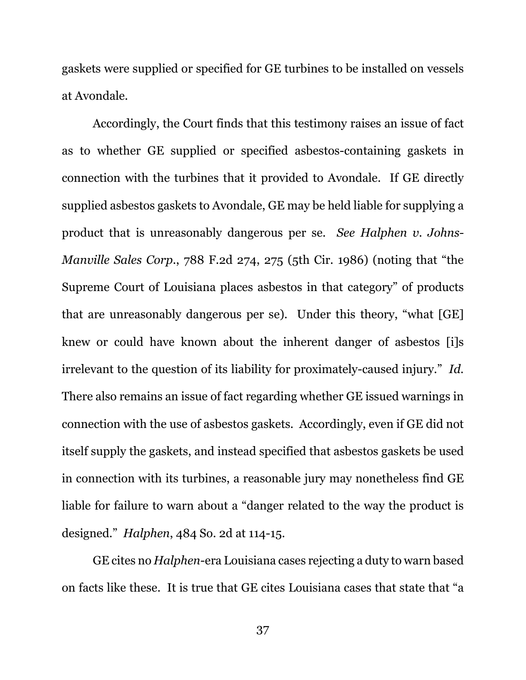gaskets were supplied or specified for GE turbines to be installed on vessels at Avondale.

Accordingly, the Court finds that this testimony raises an issue of fact as to whether GE supplied or specified asbestos-containing gaskets in connection with the turbines that it provided to Avondale. If GE directly supplied asbestos gaskets to Avondale, GE may be held liable for supplying a product that is unreasonably dangerous per se. *See Halphen v. Johns-Manville Sales Corp.*, 788 F.2d 274, 275 (5th Cir. 1986) (noting that "the Supreme Court of Louisiana places asbestos in that category" of products that are unreasonably dangerous per se). Under this theory, "what [GE] knew or could have known about the inherent danger of asbestos [i]s irrelevant to the question of its liability for proximately-caused injury." *Id.* There also remains an issue of fact regarding whether GE issued warnings in connection with the use of asbestos gaskets. Accordingly, even if GE did not itself supply the gaskets, and instead specified that asbestos gaskets be used in connection with its turbines, a reasonable jury may nonetheless find GE liable for failure to warn about a "danger related to the way the product is designed." *Halphen*, 484 So. 2d at 114-15.

GE cites no *Halphen*-era Louisiana cases rejecting a duty to warn based on facts like these. It is true that GE cites Louisiana cases that state that "a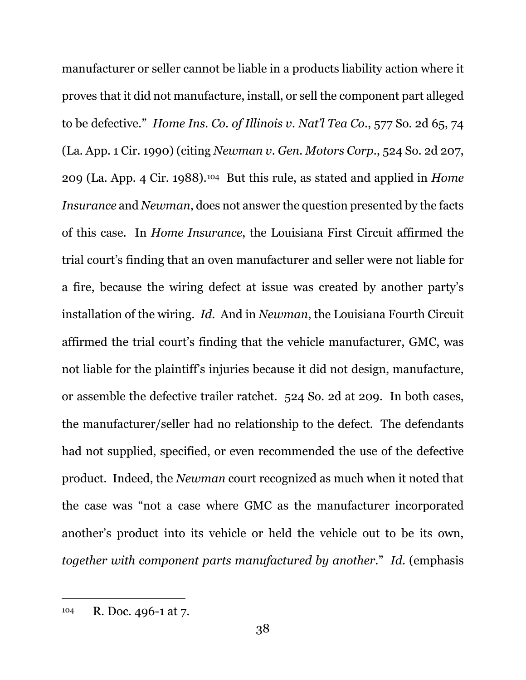manufacturer or seller cannot be liable in a products liability action where it proves that it did not manufacture, install, or sell the component part alleged to be defective." *Home Ins. Co. of Illinois v. Nat'l Tea Co.*, 577 So. 2d 65, 74 (La. App. 1 Cir. 1990) (citing *Newman v. Gen. Motors Corp.*, 524 So. 2d 207, 209 (La. App. 4 Cir. 1988).104 But this rule, as stated and applied in *Home Insurance* and *Newman*, does not answer the question presented by the facts of this case. In *Home Insurance*, the Louisiana First Circuit affirmed the trial court's finding that an oven manufacturer and seller were not liable for a fire, because the wiring defect at issue was created by another party's installation of the wiring. *Id.* And in *Newman*, the Louisiana Fourth Circuit affirmed the trial court's finding that the vehicle manufacturer, GMC, was not liable for the plaintiff's injuries because it did not design, manufacture, or assemble the defective trailer ratchet. 524 So. 2d at 209. In both cases, the manufacturer/seller had no relationship to the defect. The defendants had not supplied, specified, or even recommended the use of the defective product. Indeed, the *Newman* court recognized as much when it noted that the case was "not a case where GMC as the manufacturer incorporated another's product into its vehicle or held the vehicle out to be its own, *together with component parts manufactured by another*." *Id.* (emphasis

<sup>104</sup> R. Doc. 496-1 at 7.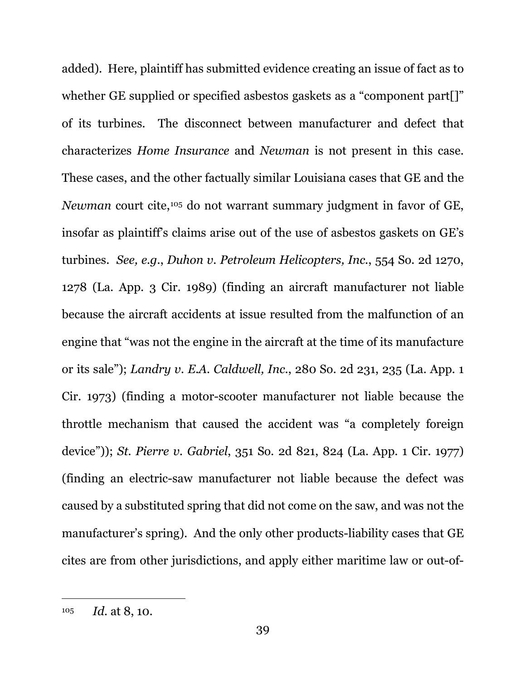added). Here, plaintiff has submitted evidence creating an issue of fact as to whether GE supplied or specified asbestos gaskets as a "component part[]" of its turbines. The disconnect between manufacturer and defect that characterizes *Home Insurance* and *Newman* is not present in this case. These cases, and the other factually similar Louisiana cases that GE and the *Newman* court cite,<sup>105</sup> do not warrant summary judgment in favor of GE, insofar as plaintiff's claims arise out of the use of asbestos gaskets on GE's turbines. *See, e.g.*, *Duhon v. Petroleum Helicopters, Inc.*, 554 So. 2d 1270, 1278 (La. App. 3 Cir. 1989) (finding an aircraft manufacturer not liable because the aircraft accidents at issue resulted from the malfunction of an engine that "was not the engine in the aircraft at the time of its manufacture or its sale"); *Landry v. E.A. Caldwell, Inc.*, 280 So. 2d 231, 235 (La. App. 1 Cir. 1973) (finding a motor-scooter manufacturer not liable because the throttle mechanism that caused the accident was "a completely foreign device")); *St. Pierre v. Gabriel*, 351 So. 2d 821, 824 (La. App. 1 Cir. 1977) (finding an electric-saw manufacturer not liable because the defect was caused by a substituted spring that did not come on the saw, and was not the manufacturer's spring). And the only other products-liability cases that GE cites are from other jurisdictions, and apply either maritime law or out-of-

<sup>105</sup> *Id.* at 8, 10.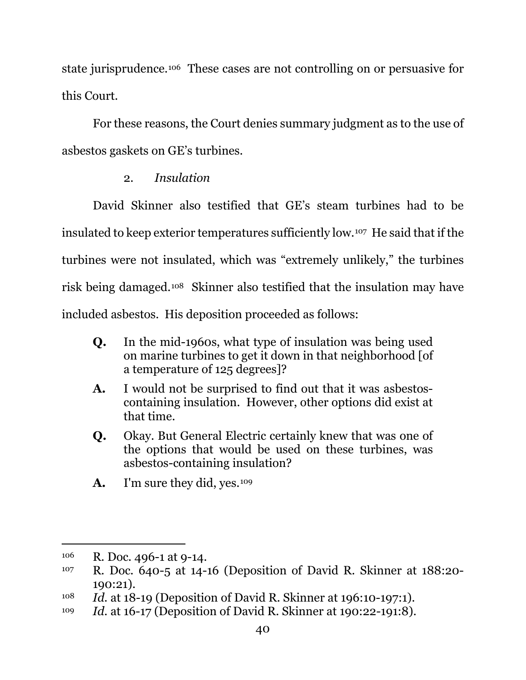state jurisprudence.106 These cases are not controlling on or persuasive for this Court.

For these reasons, the Court denies summary judgment as to the use of asbestos gaskets on GE's turbines.

# 2. *Insulation*

David Skinner also testified that GE's steam turbines had to be insulated to keep exterior temperatures sufficiently low.107 He said that if the turbines were not insulated, which was "extremely unlikely," the turbines risk being damaged.108 Skinner also testified that the insulation may have included asbestos. His deposition proceeded as follows:

- **Q.** In the mid-1960s, what type of insulation was being used on marine turbines to get it down in that neighborhood [of a temperature of 125 degrees]?
- **A.** I would not be surprised to find out that it was asbestoscontaining insulation. However, other options did exist at that time.
- **Q.** Okay. But General Electric certainly knew that was one of the options that would be used on these turbines, was asbestos-containing insulation?
- A. I'm sure they did, yes.<sup>109</sup>

<sup>106</sup> R. Doc. 496-1 at 9-14.

<sup>107</sup> R. Doc. 640-5 at 14-16 (Deposition of David R. Skinner at 188:20- 190:21).

<sup>108</sup> *Id.* at 18-19 (Deposition of David R. Skinner at 196:10-197:1).

<sup>109</sup> *Id.* at 16-17 (Deposition of David R. Skinner at 190:22-191:8).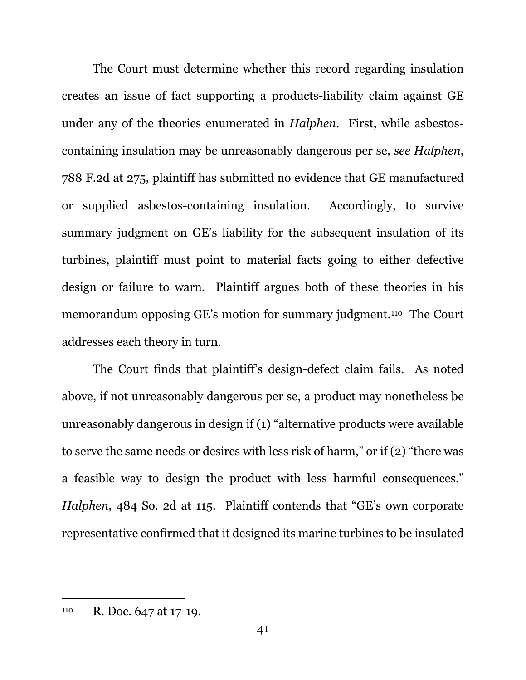The Court must determine whether this record regarding insulation creates an issue of fact supporting a products-liability claim against GE under any of the theories enumerated in *Halphen*. First, while asbestoscontaining insulation may be unreasonably dangerous per se, *see Halphen*, 788 F.2d at 275, plaintiff has submitted no evidence that GE manufactured or supplied asbestos-containing insulation. Accordingly, to survive summary judgment on GE's liability for the subsequent insulation of its turbines, plaintiff must point to material facts going to either defective design or failure to warn. Plaintiff argues both of these theories in his memorandum opposing GE's motion for summary judgment.110 The Court addresses each theory in turn.

The Court finds that plaintiff's design-defect claim fails. As noted above, if not unreasonably dangerous per se, a product may nonetheless be unreasonably dangerous in design if (1) "alternative products were available to serve the same needs or desires with less risk of harm," or if (2) "there was a feasible way to design the product with less harmful consequences." *Halphen*, 484 So. 2d at 115. Plaintiff contends that "GE's own corporate representative confirmed that it designed its marine turbines to be insulated

<sup>110</sup> R. Doc. 647 at 17-19.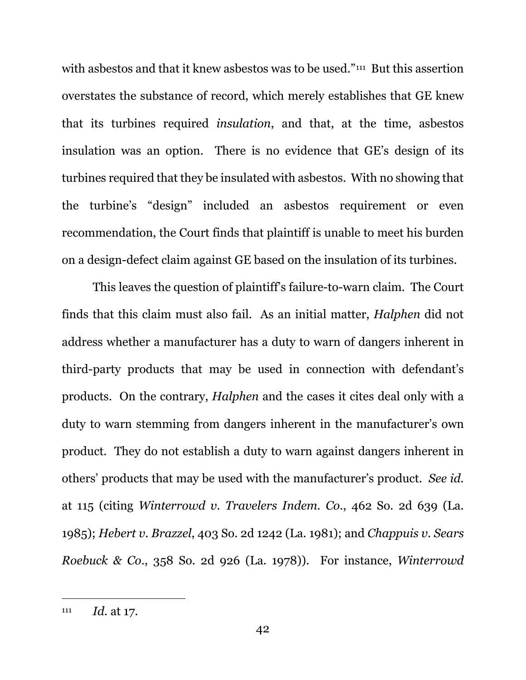with asbestos and that it knew asbestos was to be used."<sup>111</sup> But this assertion overstates the substance of record, which merely establishes that GE knew that its turbines required *insulation*, and that, at the time, asbestos insulation was an option. There is no evidence that GE's design of its turbines required that they be insulated with asbestos. With no showing that the turbine's "design" included an asbestos requirement or even recommendation, the Court finds that plaintiff is unable to meet his burden on a design-defect claim against GE based on the insulation of its turbines.

This leaves the question of plaintiff's failure-to-warn claim. The Court finds that this claim must also fail. As an initial matter, *Halphen* did not address whether a manufacturer has a duty to warn of dangers inherent in third-party products that may be used in connection with defendant's products. On the contrary, *Halphen* and the cases it cites deal only with a duty to warn stemming from dangers inherent in the manufacturer's own product. They do not establish a duty to warn against dangers inherent in others' products that may be used with the manufacturer's product. *See id.* at 115 (citing *Winterrowd v. Travelers Indem. Co.*, 462 So. 2d 639 (La. 1985); *Hebert v. Brazzel*, 403 So. 2d 1242 (La. 1981); and *Chappuis v. Sears Roebuck & Co.*, 358 So. 2d 926 (La. 1978)). For instance, *Winterrowd*

<sup>111</sup> *Id.* at 17.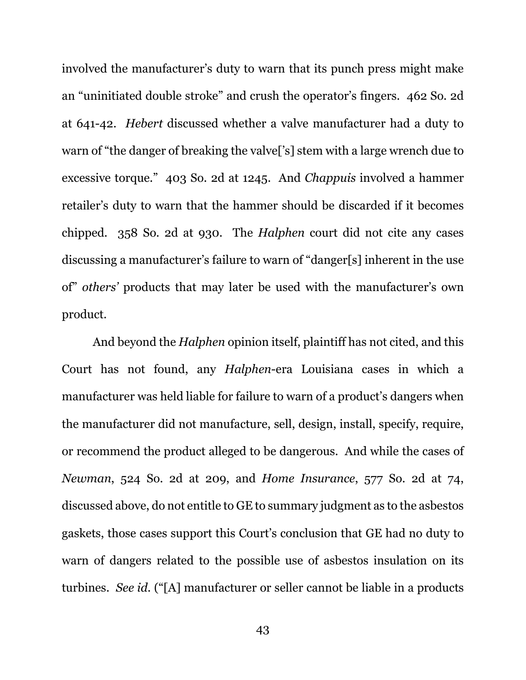involved the manufacturer's duty to warn that its punch press might make an "uninitiated double stroke" and crush the operator's fingers. 462 So. 2d at 641-42. *Hebert* discussed whether a valve manufacturer had a duty to warn of "the danger of breaking the valve['s] stem with a large wrench due to excessive torque." 403 So. 2d at 1245. And *Chappuis* involved a hammer retailer's duty to warn that the hammer should be discarded if it becomes chipped. 358 So. 2d at 930. The *Halphen* court did not cite any cases discussing a manufacturer's failure to warn of "danger[s] inherent in the use of" *others'* products that may later be used with the manufacturer's own product.

And beyond the *Halphen* opinion itself, plaintiff has not cited, and this Court has not found, any *Halphen*-era Louisiana cases in which a manufacturer was held liable for failure to warn of a product's dangers when the manufacturer did not manufacture, sell, design, install, specify, require, or recommend the product alleged to be dangerous. And while the cases of *Newman*, 524 So. 2d at 209, and *Home Insurance*, 577 So. 2d at 74, discussed above, do not entitle to GE to summary judgment as to the asbestos gaskets, those cases support this Court's conclusion that GE had no duty to warn of dangers related to the possible use of asbestos insulation on its turbines. *See id.* ("[A] manufacturer or seller cannot be liable in a products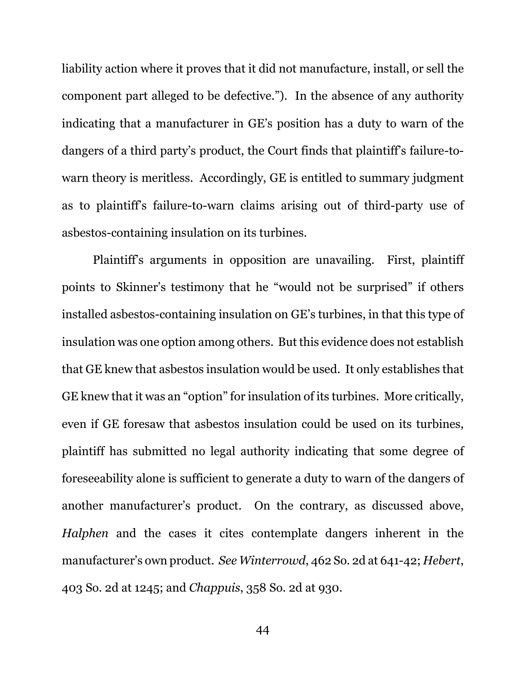liability action where it proves that it did not manufacture, install, or sell the component part alleged to be defective."). In the absence of any authority indicating that a manufacturer in GE's position has a duty to warn of the dangers of a third party's product, the Court finds that plaintiff's failure-towarn theory is meritless. Accordingly, GE is entitled to summary judgment as to plaintiff's failure-to-warn claims arising out of third-party use of asbestos-containing insulation on its turbines.

Plaintiff's arguments in opposition are unavailing. First, plaintiff points to Skinner's testimony that he "would not be surprised" if others installed asbestos-containing insulation on GE's turbines, in that this type of insulation was one option among others. But this evidence does not establish that GE knew that asbestos insulation would be used. It only establishes that GE knew that it was an "option" for insulation of its turbines. More critically, even if GE foresaw that asbestos insulation could be used on its turbines, plaintiff has submitted no legal authority indicating that some degree of foreseeability alone is sufficient to generate a duty to warn of the dangers of another manufacturer's product. On the contrary, as discussed above, *Halphen* and the cases it cites contemplate dangers inherent in the manufacturer's own product. *See Winterrowd*, 462 So. 2d at 641-42; *Hebert*, 403 So. 2d at 1245; and *Chappuis*, 358 So. 2d at 930.

44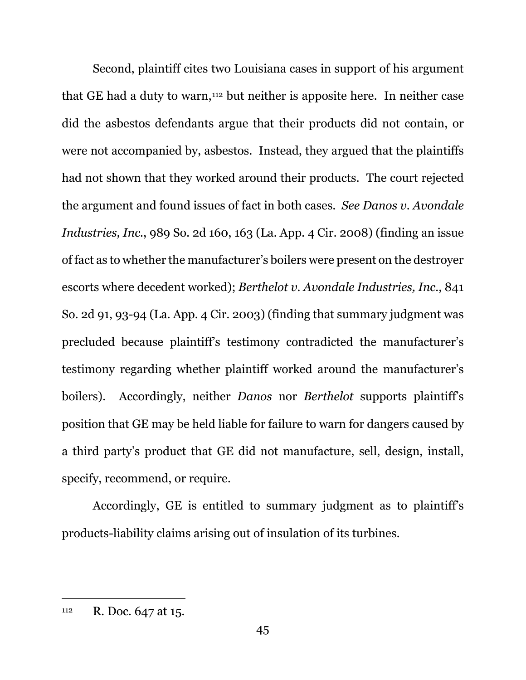Second, plaintiff cites two Louisiana cases in support of his argument that GE had a duty to warn,<sup>112</sup> but neither is apposite here. In neither case did the asbestos defendants argue that their products did not contain, or were not accompanied by, asbestos. Instead, they argued that the plaintiffs had not shown that they worked around their products. The court rejected the argument and found issues of fact in both cases. *See Danos v. Avondale Industries, Inc.*, 989 So. 2d 160, 163 (La. App. 4 Cir. 2008) (finding an issue of fact as to whether the manufacturer's boilers were present on the destroyer escorts where decedent worked); *Berthelot v. Avondale Industries, Inc.*, 841 So. 2d 91, 93-94 (La. App. 4 Cir. 2003) (finding that summary judgment was precluded because plaintiff's testimony contradicted the manufacturer's testimony regarding whether plaintiff worked around the manufacturer's boilers). Accordingly, neither *Danos* nor *Berthelot* supports plaintiff's position that GE may be held liable for failure to warn for dangers caused by a third party's product that GE did not manufacture, sell, design, install, specify, recommend, or require.

Accordingly, GE is entitled to summary judgment as to plaintiff's products-liability claims arising out of insulation of its turbines.

<sup>112</sup> R. Doc. 647 at 15.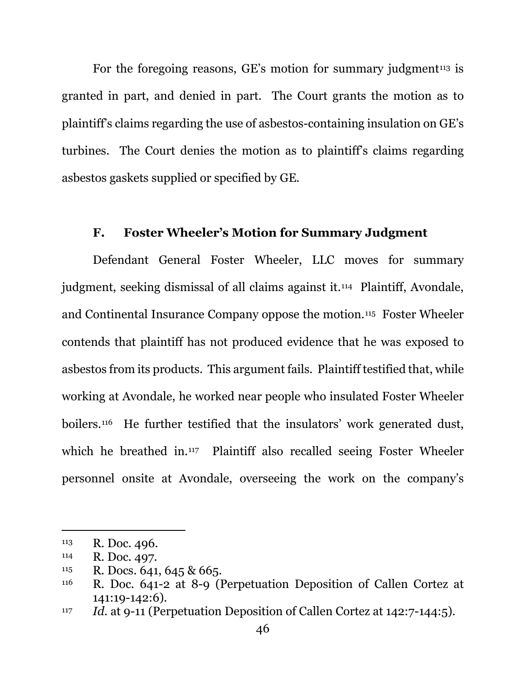For the foregoing reasons, GE's motion for summary judgment<sup>113</sup> is granted in part, and denied in part. The Court grants the motion as to plaintiff's claims regarding the use of asbestos-containing insulation on GE's turbines. The Court denies the motion as to plaintiff's claims regarding asbestos gaskets supplied or specified by GE.

### **F. Foster Wheeler's Motion for Summary Judgment**

Defendant General Foster Wheeler, LLC moves for summary judgment, seeking dismissal of all claims against it.114 Plaintiff, Avondale, and Continental Insurance Company oppose the motion.115 Foster Wheeler contends that plaintiff has not produced evidence that he was exposed to asbestos from its products. This argument fails. Plaintiff testified that, while working at Avondale, he worked near people who insulated Foster Wheeler boilers.116 He further testified that the insulators' work generated dust, which he breathed in.<sup>117</sup> Plaintiff also recalled seeing Foster Wheeler personnel onsite at Avondale, overseeing the work on the company's

<sup>113</sup> R. Doc. 496.

<sup>114</sup> R. Doc. 497.

<sup>115</sup> R. Docs. 641, 645 & 665.

<sup>116</sup> R. Doc. 641-2 at 8-9 (Perpetuation Deposition of Callen Cortez at 141:19-142:6).

<sup>117</sup> *Id.* at 9-11 (Perpetuation Deposition of Callen Cortez at 142:7-144:5).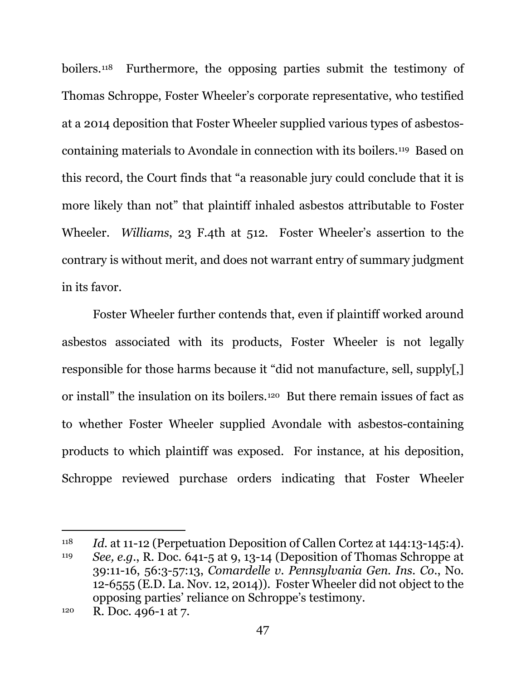boilers.118 Furthermore, the opposing parties submit the testimony of Thomas Schroppe, Foster Wheeler's corporate representative, who testified at a 2014 deposition that Foster Wheeler supplied various types of asbestoscontaining materials to Avondale in connection with its boilers.119 Based on this record, the Court finds that "a reasonable jury could conclude that it is more likely than not" that plaintiff inhaled asbestos attributable to Foster Wheeler. *Williams*, 23 F.4th at 512. Foster Wheeler's assertion to the contrary is without merit, and does not warrant entry of summary judgment in its favor.

Foster Wheeler further contends that, even if plaintiff worked around asbestos associated with its products, Foster Wheeler is not legally responsible for those harms because it "did not manufacture, sell, supply[,] or install" the insulation on its boilers.120 But there remain issues of fact as to whether Foster Wheeler supplied Avondale with asbestos-containing products to which plaintiff was exposed. For instance, at his deposition, Schroppe reviewed purchase orders indicating that Foster Wheeler

<sup>118</sup> *Id.* at 11-12 (Perpetuation Deposition of Callen Cortez at 144:13-145:4).

<sup>119</sup> *See, e.g.*, R. Doc. 641-5 at 9, 13-14 (Deposition of Thomas Schroppe at 39:11-16, 56:3-57:13, *Comardelle v. Pennsylvania Gen. Ins. Co.*, No. 12-6555 (E.D. La. Nov. 12, 2014)). Foster Wheeler did not object to the opposing parties' reliance on Schroppe's testimony.

<sup>120</sup> R. Doc. 496-1 at 7.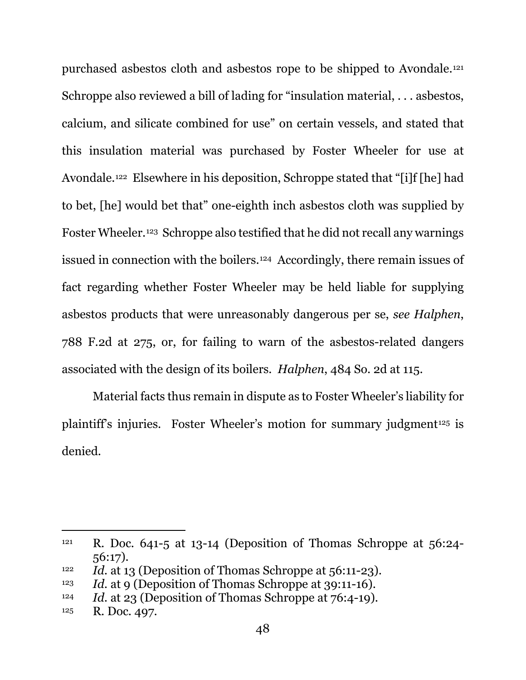purchased asbestos cloth and asbestos rope to be shipped to Avondale.121 Schroppe also reviewed a bill of lading for "insulation material, . . . asbestos, calcium, and silicate combined for use" on certain vessels, and stated that this insulation material was purchased by Foster Wheeler for use at Avondale.122 Elsewhere in his deposition, Schroppe stated that "[i]f [he] had to bet, [he] would bet that" one-eighth inch asbestos cloth was supplied by Foster Wheeler.123 Schroppe also testified that he did not recall any warnings issued in connection with the boilers.124 Accordingly, there remain issues of fact regarding whether Foster Wheeler may be held liable for supplying asbestos products that were unreasonably dangerous per se, *see Halphen*, 788 F.2d at 275, or, for failing to warn of the asbestos-related dangers associated with the design of its boilers. *Halphen*, 484 So. 2d at 115.

Material facts thus remain in dispute as to Foster Wheeler's liability for plaintiff's injuries. Foster Wheeler's motion for summary judgment<sup>125</sup> is denied.

<sup>&</sup>lt;sup>121</sup> R. Doc. 641-5 at 13-14 (Deposition of Thomas Schroppe at  $56:24$ -56:17).

<sup>122</sup> *Id.* at 13 (Deposition of Thomas Schroppe at 56:11-23).

<sup>123</sup> *Id.* at 9 (Deposition of Thomas Schroppe at 39:11-16).

<sup>124</sup> *Id.* at 23 (Deposition of Thomas Schroppe at 76:4-19).

<sup>125</sup> R. Doc. 497.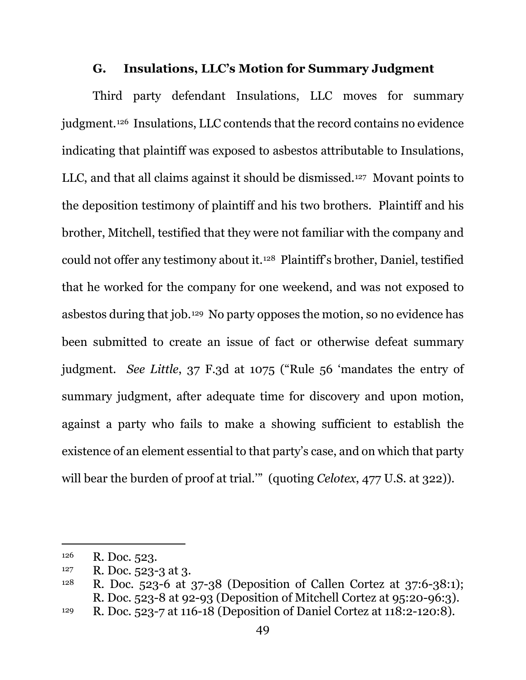#### **G. Insulations, LLC's Motion for Summary Judgment**

Third party defendant Insulations, LLC moves for summary judgment.126 Insulations, LLC contends that the record contains no evidence indicating that plaintiff was exposed to asbestos attributable to Insulations, LLC, and that all claims against it should be dismissed.127 Movant points to the deposition testimony of plaintiff and his two brothers. Plaintiff and his brother, Mitchell, testified that they were not familiar with the company and could not offer any testimony about it.128 Plaintiff's brother, Daniel, testified that he worked for the company for one weekend, and was not exposed to asbestos during that job.129 No party opposes the motion, so no evidence has been submitted to create an issue of fact or otherwise defeat summary judgment. *See Little*, 37 F.3d at 1075 ("Rule 56 'mandates the entry of summary judgment, after adequate time for discovery and upon motion, against a party who fails to make a showing sufficient to establish the existence of an element essential to that party's case, and on which that party will bear the burden of proof at trial." (quoting *Celotex*, 477 U.S. at 322)).

<sup>126</sup> R. Doc. 523.

 $127$  R. Doc. 523-3 at 3.

<sup>128</sup> R. Doc. 523-6 at 37-38 (Deposition of Callen Cortez at 37:6-38:1); R. Doc. 523-8 at 92-93 (Deposition of Mitchell Cortez at 95:20-96:3).

<sup>129</sup> R. Doc. 523-7 at 116-18 (Deposition of Daniel Cortez at 118:2-120:8).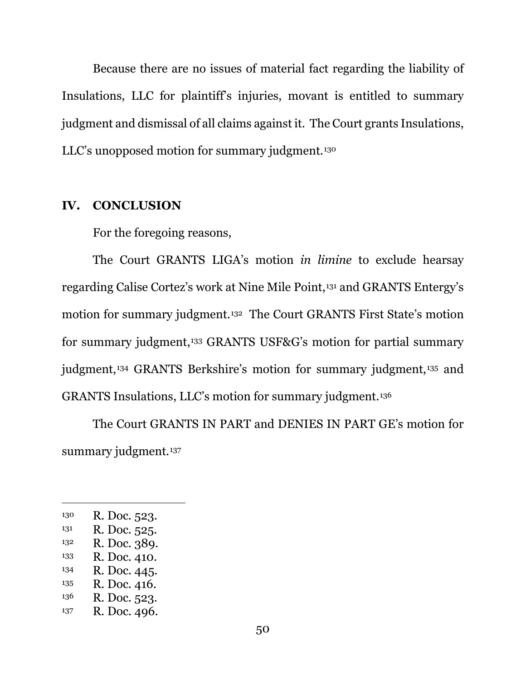Because there are no issues of material fact regarding the liability of Insulations, LLC for plaintiff's injuries, movant is entitled to summary judgment and dismissal of all claims against it. The Court grants Insulations, LLC's unopposed motion for summary judgment.130

#### **IV. CONCLUSION**

For the foregoing reasons,

The Court GRANTS LIGA's motion *in limine* to exclude hearsay regarding Calise Cortez's work at Nine Mile Point,131 and GRANTS Entergy's motion for summary judgment.132 The Court GRANTS First State's motion for summary judgment,133 GRANTS USF&G's motion for partial summary judgment,134 GRANTS Berkshire's motion for summary judgment,135 and GRANTS Insulations, LLC's motion for summary judgment.136

The Court GRANTS IN PART and DENIES IN PART GE's motion for summary judgment.<sup>137</sup>

- 133 R. Doc. 410.
- 134 R. Doc. 445.
- 135 R. Doc. 416.
- 136 R. Doc. 523.
- 137 R. Doc. 496.

<sup>130</sup> R. Doc. 523.

 $131$  R. Doc. 525.

<sup>132</sup> R. Doc. 389.